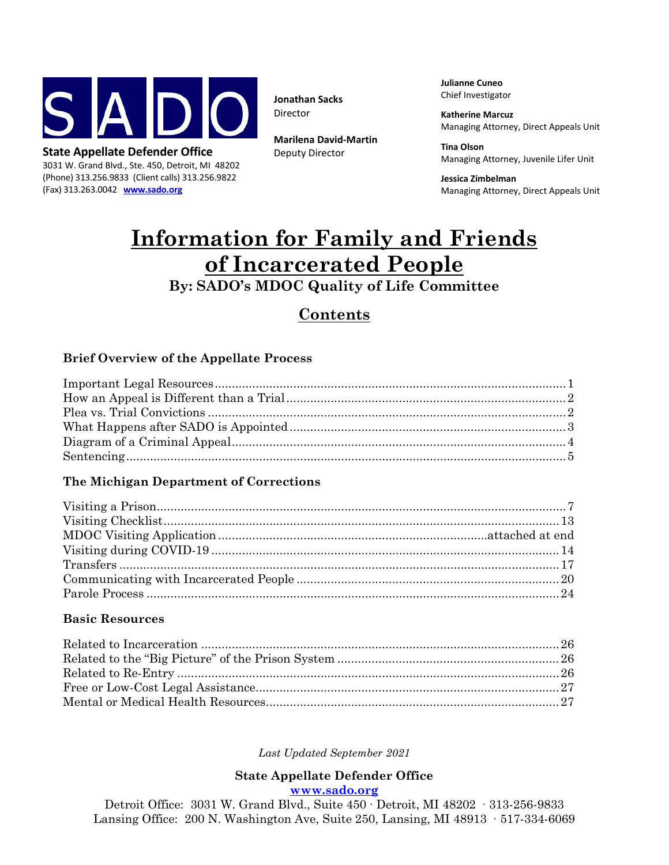

3031 W. Grand Blvd., Ste. 450, Detroit, MI 48202 (Phone) 313.256.9833 (Client calls) 313.256.9822 (Fax) 313.263.0042 **[www.sado.org](file://SADIEW2K/SADO%20ADMIN%20USERS/Wendy/Templates/www.sado.org)**

**Jonathan Sacks** Director

**Marilena David-Martin** Deputy Director

**Julianne Cuneo** Chief Investigator

**Katherine Marcuz** Managing Attorney, Direct Appeals Unit

**Tina Olson** Managing Attorney, Juvenile Lifer Unit

**Jessica Zimbelman** Managing Attorney, Direct Appeals Unit

# **Information for Family and Friends of Incarcerated People**

## **By: SADO's MDOC Quality of Life Committee**

## **Contents**

### **Brief Overview of the Appellate Process**

| $\label{lem:opt1} {\bf Important~Legal~ Resources}\,\\$ |  |
|---------------------------------------------------------|--|
|                                                         |  |
|                                                         |  |
|                                                         |  |
|                                                         |  |
|                                                         |  |
|                                                         |  |

#### **The Michigan Department of Corrections**

#### **Basic Resources**

#### *Last Updated September 2021*

#### **State Appellate Defender Office [www.sado.org](http://www.sado.org/)**

Detroit Office: 3031 W. Grand Blvd., Suite 450 ∙ Detroit, MI 48202 ∙ 313-256-9833 Lansing Office: 200 N. Washington Ave, Suite 250, Lansing, MI 48913 ∙ 517-334-6069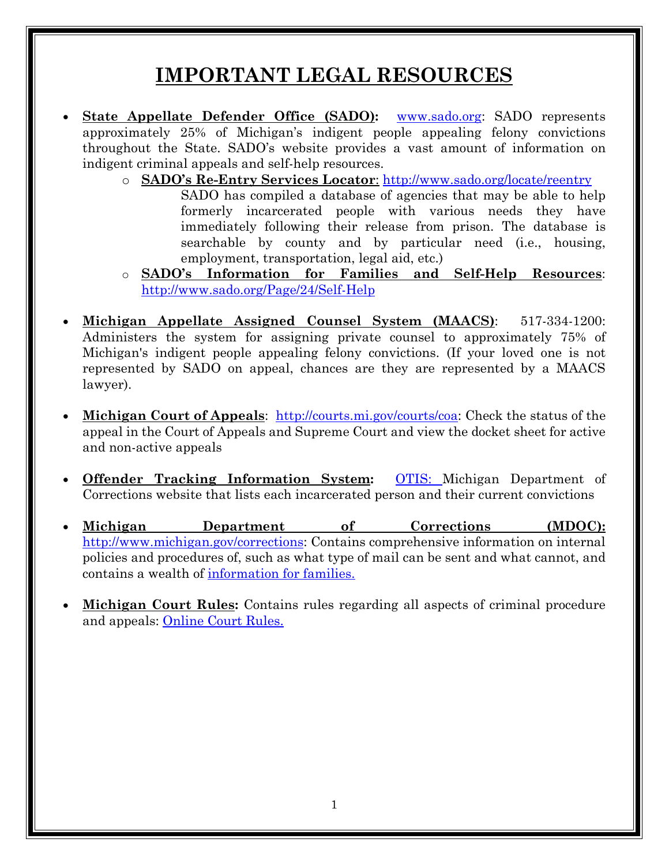# **IMPORTANT LEGAL RESOURCES**

- **State Appellate Defender Office (SADO):** [www.sado.org:](http://www.sado.org/) SADO represents approximately 25% of Michigan's indigent people appealing felony convictions throughout the State. SADO's website provides a vast amount of information on indigent criminal appeals and self-help resources.
	- o **SADO's Re-Entry Services Locator**: <http://www.sado.org/locate/reentry> SADO has compiled a database of agencies that may be able to help formerly incarcerated people with various needs they have immediately following their release from prison. The database is searchable by county and by particular need (i.e., housing, employment, transportation, legal aid, etc.)
	- o **SADO's Information for Families and Self-Help Resources**: [http://www.sado.org/Page/24/Self](http://www.sado.org/Page/24/Self-Help)-[Help](http://www.sado.org/Page/24/Self-Help)
- **Michigan Appellate Assigned Counsel System (MAACS)**: 517-334-1200: Administers the system for assigning private counsel to approximately 75% of Michigan's indigent people appealing felony convictions. (If your loved one is not represented by SADO on appeal, chances are they are represented by a MAACS lawyer).
- **Michigan Court of Appeals**: <http://courts.mi.gov/courts/coa>: Check the status of the appeal in the Court of Appeals and Supreme Court and view the docket sheet for active and non-active appeals
- **Offender Tracking Information System:** [OTIS](http://mdocweb.state.mi.us/otis2/otis2.aspx): Michigan Department of Corrections website that lists each incarcerated person and their current convictions
- **Michigan Department of Corrections (MDOC):** <http://www.michigan.gov/corrections>: Contains comprehensive information on internal policies and procedures of, such as what type of mail can be sent and what cannot, and contains a wealth of [information for families](http://www.michigan.gov/corrections/0,4551,7-119-68854_68856_63694---,00.html)[.](http://www.michigan.gov/corrections/0,4551,7-119-68854_68856_63694---,00.html)
- **Michigan Court Rules:** Contains rules regarding all aspects of criminal procedure and appeals: [Online Court Rules](http://www.courts.michigan.gov/courts/michigansupremecourt/rules/pages/current-court-rules.aspx).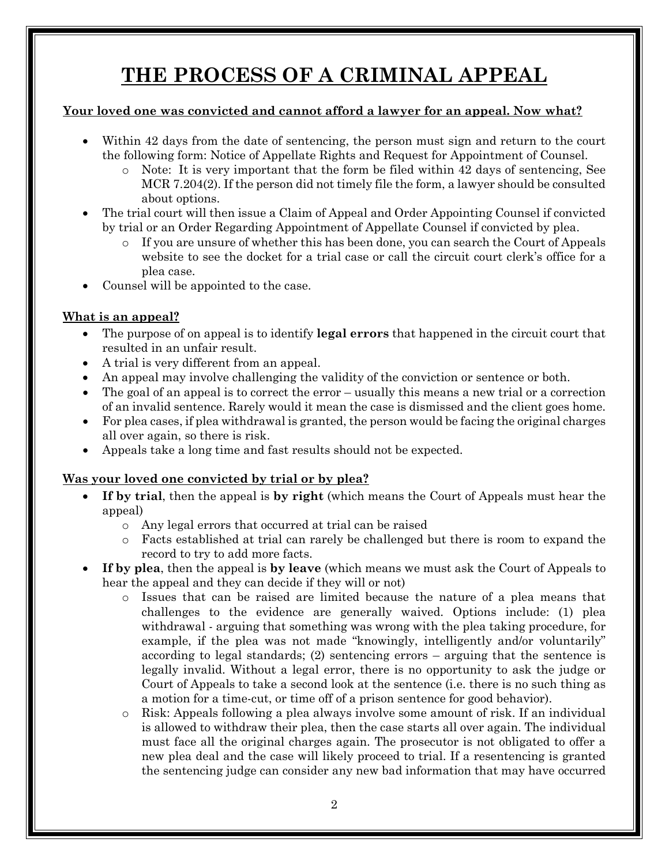# **THE PROCESS OF A CRIMINAL APPEAL**

#### **Your loved one was convicted and cannot afford a lawyer for an appeal. Now what?**

- Within 42 days from the date of sentencing, the person must sign and return to the court the following form: Notice of Appellate Rights and Request for Appointment of Counsel.
	- o Note: It is very important that the form be filed within 42 days of sentencing, See MCR 7.204(2). If the person did not timely file the form, a lawyer should be consulted about options.
- The trial court will then issue a Claim of Appeal and Order Appointing Counsel if convicted by trial or an Order Regarding Appointment of Appellate Counsel if convicted by plea.
	- o If you are unsure of whether this has been done, you can search the Court of Appeals website to see the docket for a trial case or call the circuit court clerk's office for a plea case.
- Counsel will be appointed to the case.

#### **What is an appeal?**

- The purpose of on appeal is to identify **legal errors** that happened in the circuit court that resulted in an unfair result.
- A trial is very different from an appeal.
- An appeal may involve challenging the validity of the conviction or sentence or both.
- The goal of an appeal is to correct the error usually this means a new trial or a correction of an invalid sentence. Rarely would it mean the case is dismissed and the client goes home.
- For plea cases, if plea withdrawal is granted, the person would be facing the original charges all over again, so there is risk.
- Appeals take a long time and fast results should not be expected.

### **Was your loved one convicted by trial or by plea?**

- **If by trial**, then the appeal is **by right** (which means the Court of Appeals must hear the appeal)
	- o Any legal errors that occurred at trial can be raised
	- o Facts established at trial can rarely be challenged but there is room to expand the record to try to add more facts.
- **If by plea**, then the appeal is **by leave** (which means we must ask the Court of Appeals to hear the appeal and they can decide if they will or not)
	- o Issues that can be raised are limited because the nature of a plea means that challenges to the evidence are generally waived. Options include: (1) plea withdrawal - arguing that something was wrong with the plea taking procedure, for example, if the plea was not made "knowingly, intelligently and/or voluntarily" according to legal standards; (2) sentencing errors – arguing that the sentence is legally invalid. Without a legal error, there is no opportunity to ask the judge or Court of Appeals to take a second look at the sentence (i.e. there is no such thing as a motion for a time-cut, or time off of a prison sentence for good behavior).
	- o Risk: Appeals following a plea always involve some amount of risk. If an individual is allowed to withdraw their plea, then the case starts all over again. The individual must face all the original charges again. The prosecutor is not obligated to offer a new plea deal and the case will likely proceed to trial. If a resentencing is granted the sentencing judge can consider any new bad information that may have occurred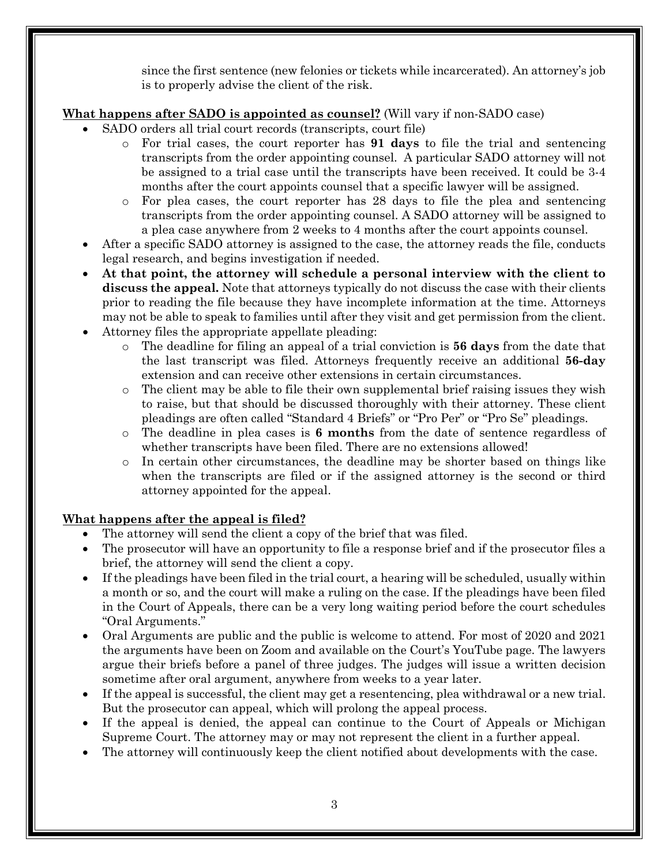since the first sentence (new felonies or tickets while incarcerated). An attorney's job is to properly advise the client of the risk.

### **What happens after SADO is appointed as counsel?** (Will vary if non-SADO case)

- SADO orders all trial court records (transcripts, court file)
	- o For trial cases, the court reporter has **91 days** to file the trial and sentencing transcripts from the order appointing counsel. A particular SADO attorney will not be assigned to a trial case until the transcripts have been received. It could be 3-4 months after the court appoints counsel that a specific lawyer will be assigned.
	- o For plea cases, the court reporter has 28 days to file the plea and sentencing transcripts from the order appointing counsel. A SADO attorney will be assigned to a plea case anywhere from 2 weeks to 4 months after the court appoints counsel.
- After a specific SADO attorney is assigned to the case, the attorney reads the file, conducts legal research, and begins investigation if needed.
- **At that point, the attorney will schedule a personal interview with the client to discuss the appeal.** Note that attorneys typically do not discuss the case with their clients prior to reading the file because they have incomplete information at the time. Attorneys may not be able to speak to families until after they visit and get permission from the client.
- Attorney files the appropriate appellate pleading:
	- o The deadline for filing an appeal of a trial conviction is **56 days** from the date that the last transcript was filed. Attorneys frequently receive an additional **56-day** extension and can receive other extensions in certain circumstances.
	- o The client may be able to file their own supplemental brief raising issues they wish to raise, but that should be discussed thoroughly with their attorney. These client pleadings are often called "Standard 4 Briefs" or "Pro Per" or "Pro Se" pleadings.
	- o The deadline in plea cases is **6 months** from the date of sentence regardless of whether transcripts have been filed. There are no extensions allowed!
	- o In certain other circumstances, the deadline may be shorter based on things like when the transcripts are filed or if the assigned attorney is the second or third attorney appointed for the appeal.

### **What happens after the appeal is filed?**

- The attorney will send the client a copy of the brief that was filed.
- The prosecutor will have an opportunity to file a response brief and if the prosecutor files a brief, the attorney will send the client a copy.
- If the pleadings have been filed in the trial court, a hearing will be scheduled, usually within a month or so, and the court will make a ruling on the case. If the pleadings have been filed in the Court of Appeals, there can be a very long waiting period before the court schedules "Oral Arguments."
- Oral Arguments are public and the public is welcome to attend. For most of 2020 and 2021 the arguments have been on Zoom and available on the Court's YouTube page. The lawyers argue their briefs before a panel of three judges. The judges will issue a written decision sometime after oral argument, anywhere from weeks to a year later.
- If the appeal is successful, the client may get a resentencing, plea withdrawal or a new trial. But the prosecutor can appeal, which will prolong the appeal process.
- If the appeal is denied, the appeal can continue to the Court of Appeals or Michigan Supreme Court. The attorney may or may not represent the client in a further appeal.
- The attorney will continuously keep the client notified about developments with the case.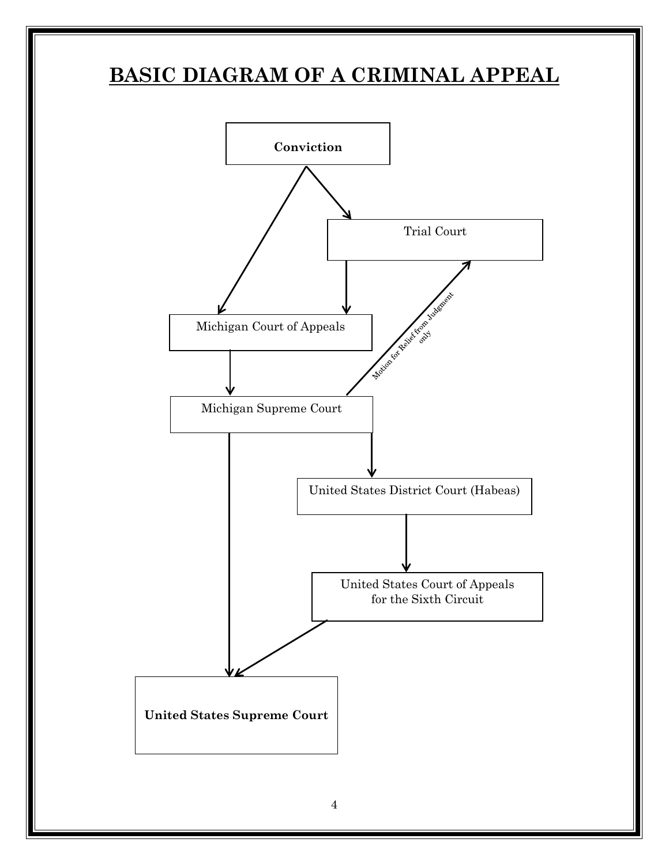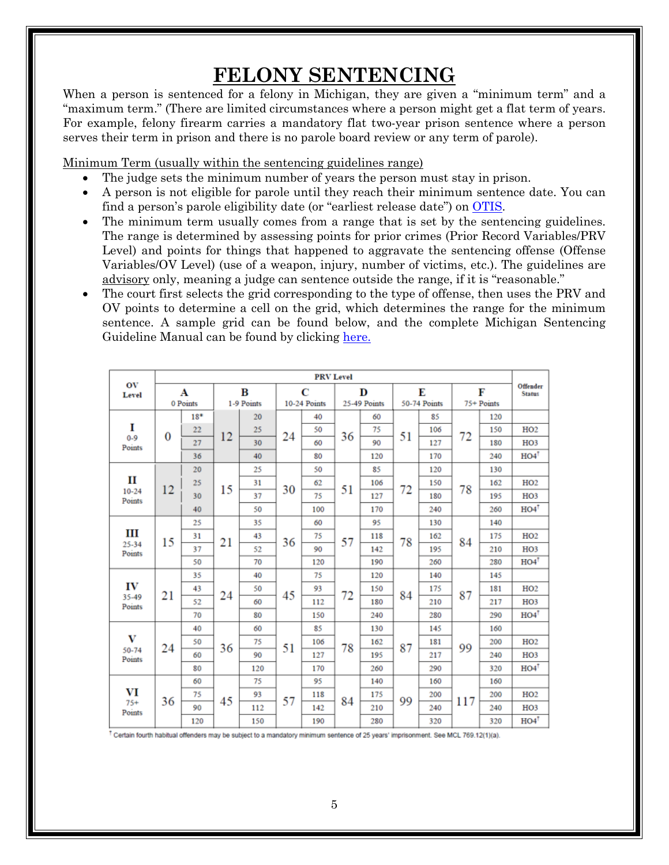# **FELONY SENTENCING**

When a person is sentenced for a felony in Michigan, they are given a "minimum term" and a "maximum term." (There are limited circumstances where a person might get a flat term of years. For example, felony firearm carries a mandatory flat two-year prison sentence where a person serves their term in prison and there is no parole board review or any term of parole).

Minimum Term (usually within the sentencing guidelines range)

- The judge sets the minimum number of years the person must stay in prison.
- A person is not eligible for parole until they reach their minimum sentence date. You can find a person's parole eligibility date (or "earliest release date") on [OTIS](http://mdocweb.state.mi.us/otis2/otis2.aspx).
- The minimum term usually comes from a range that is set by the sentencing guidelines. The range is determined by assessing points for prior crimes (Prior Record Variables/PRV Level) and points for things that happened to aggravate the sentencing offense (Offense Variables/OV Level) (use of a weapon, injury, number of victims, etc.). The guidelines are advisory only, meaning a judge can sentence outside the range, if it is "reasonable."
- The court first selects the grid corresponding to the type of offense, then uses the PRV and OV points to determine a cell on the grid, which determines the range for the minimum sentence. A sample grid can be found below, and the complete Michigan Sentencing Guideline Manual can be found by clicking h[ere.](https://mjieducation.mi.gov/documents/sgm-files/94-sgm/file)

|                             |          |       |            |     |              | <b>PRV Level</b> |              |     |              |     |            |     |                           |
|-----------------------------|----------|-------|------------|-----|--------------|------------------|--------------|-----|--------------|-----|------------|-----|---------------------------|
| OV<br>Level                 | A        |       | B          |     | C            |                  | D            |     | E            |     | F          |     | Offender<br><b>Status</b> |
|                             | 0 Points |       | 1-9 Points |     | 10-24 Points |                  | 25-49 Points |     | 50-74 Points |     | 75+ Points |     |                           |
| I<br>$0 - 9$<br>Points      | $\bf{0}$ | $18*$ | 12         | 20  |              | 40               | 36           | 60  | 51           | 85  |            | 120 |                           |
|                             |          | 22    |            | 25  | 24           | 50               |              | 75  |              | 106 | 72         | 150 | HO2                       |
|                             |          | 27    |            | 30  |              | 60               |              | 90  |              | 127 |            | 180 | HO <sub>3</sub>           |
|                             |          | 36    |            | 40  |              | 80               |              | 120 |              | 170 |            | 240 | $HO4$ <sup>T</sup>        |
| П<br>$10 - 24$<br>Points    | 12       | 20    |            | 25  |              | 50               |              | 85  | 72           | 120 | 78         | 130 |                           |
|                             |          | 25    | 15         | 31  |              | 62               |              | 106 |              | 150 |            | 162 | HO2                       |
|                             |          | 30    |            | 37  | 30           | 75               | 51           | 127 |              | 180 |            | 195 | HO <sub>3</sub>           |
|                             |          | 40    |            | 50  |              | 100              |              | 170 |              | 240 |            | 260 | $HO4$ <sup>T</sup>        |
| Ш<br>25-34<br>Points        | 15       | 25    |            | 35  | 36           | 60               | 57           | 95  | 78           | 130 | 84         | 140 |                           |
|                             |          | 31    | 21         | 43  |              | 75               |              | 118 |              | 162 |            | 175 | HO2                       |
|                             |          | 37    |            | 52  |              | 90               |              | 142 |              | 195 |            | 210 | HO <sub>3</sub>           |
|                             |          | 50    |            | 70  |              | 120              |              | 190 |              | 260 |            | 280 | $HO4$ <sup>T</sup>        |
| IV<br>35-49<br>Points       | 21       | 35    |            | 40  | 45           | 75               | 72           | 120 | 84           | 140 | 87         | 145 |                           |
|                             |          | 43    |            | 50  |              | 93               |              | 150 |              | 175 |            | 181 | HO2                       |
|                             |          | 52    | 24         | 60  |              | 112              |              | 180 |              | 210 |            | 217 | HO <sub>3</sub>           |
|                             |          | 70    |            | 80  |              | 150              |              | 240 |              | 280 |            | 290 | $HO4$ <sup>T</sup>        |
| $\bf{V}$<br>50-74<br>Points | 24       | 40    |            | 60  | 51           | 85               | 78           | 130 | 87           | 145 | 99         | 160 |                           |
|                             |          | 50    | 36         | 75  |              | 106              |              | 162 |              | 181 |            | 200 | HO2                       |
|                             |          | 60    |            | 90  |              | 127              |              | 195 |              | 217 |            | 240 | HO <sub>3</sub>           |
|                             |          | 80    |            | 120 |              | 170              |              | 260 |              | 290 |            | 320 | $HO4$ <sup>T</sup>        |
| VI<br>$75+$<br>Points       | 36       | 60    |            | 75  | 57           | 95               | 84           | 140 | 99           | 160 | 117        | 160 |                           |
|                             |          | 75    | 45         | 93  |              | 118              |              | 175 |              | 200 |            | 200 | HO2                       |
|                             |          | 90    |            | 112 |              | 142              |              | 210 |              | 240 |            | 240 | HO <sub>3</sub>           |
|                             |          | 120   |            | 150 |              | 190              |              | 280 |              | 320 |            | 320 | HO4                       |

 $^\dagger$  Certain fourth habitual offenders may be subject to a mandatory minimum sentence of 25 years' imprisonment. See MCL 769.12(1)(a),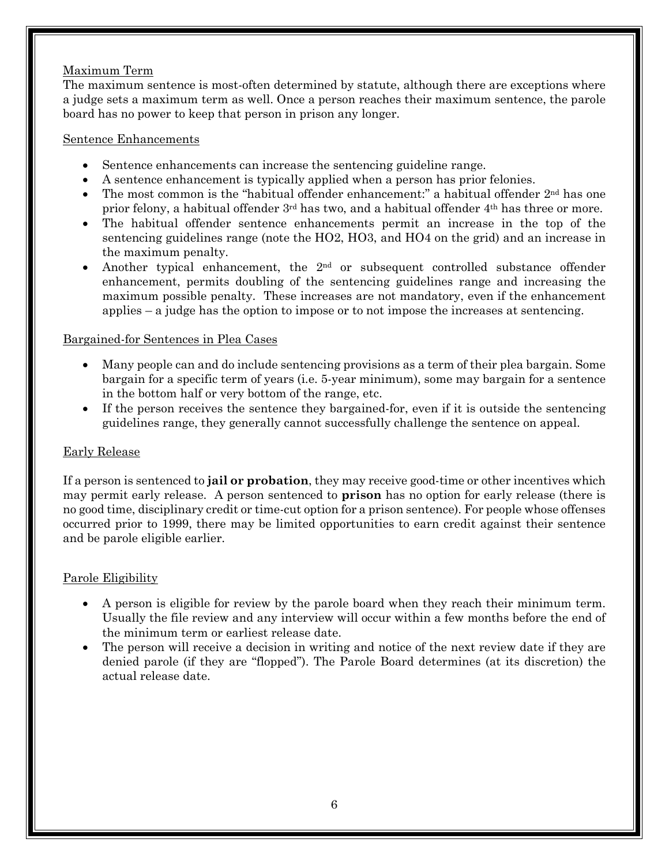#### Maximum Term

The maximum sentence is most-often determined by statute, although there are exceptions where a judge sets a maximum term as well. Once a person reaches their maximum sentence, the parole board has no power to keep that person in prison any longer.

#### Sentence Enhancements

- Sentence enhancements can increase the sentencing guideline range.
- A sentence enhancement is typically applied when a person has prior felonies.
- The most common is the "habitual offender enhancement:" a habitual offender  $2<sup>nd</sup>$  has one prior felony, a habitual offender  $3<sup>rd</sup>$  has two, and a habitual offender  $4<sup>th</sup>$  has three or more.
- The habitual offender sentence enhancements permit an increase in the top of the sentencing guidelines range (note the HO2, HO3, and HO4 on the grid) and an increase in the maximum penalty.
- Another typical enhancement, the  $2<sup>nd</sup>$  or subsequent controlled substance offender enhancement, permits doubling of the sentencing guidelines range and increasing the maximum possible penalty. These increases are not mandatory, even if the enhancement applies – a judge has the option to impose or to not impose the increases at sentencing.

#### Bargained-for Sentences in Plea Cases

- Many people can and do include sentencing provisions as a term of their plea bargain. Some bargain for a specific term of years (i.e. 5-year minimum), some may bargain for a sentence in the bottom half or very bottom of the range, etc.
- If the person receives the sentence they bargained-for, even if it is outside the sentencing guidelines range, they generally cannot successfully challenge the sentence on appeal.

#### Early Release

If a person is sentenced to **jail or probation**, they may receive good-time or other incentives which may permit early release. A person sentenced to **prison** has no option for early release (there is no good time, disciplinary credit or time-cut option for a prison sentence). For people whose offenses occurred prior to 1999, there may be limited opportunities to earn credit against their sentence and be parole eligible earlier.

#### Parole Eligibility

- A person is eligible for review by the parole board when they reach their minimum term. Usually the file review and any interview will occur within a few months before the end of the minimum term or earliest release date.
- The person will receive a decision in writing and notice of the next review date if they are denied parole (if they are "flopped"). The Parole Board determines (at its discretion) the actual release date.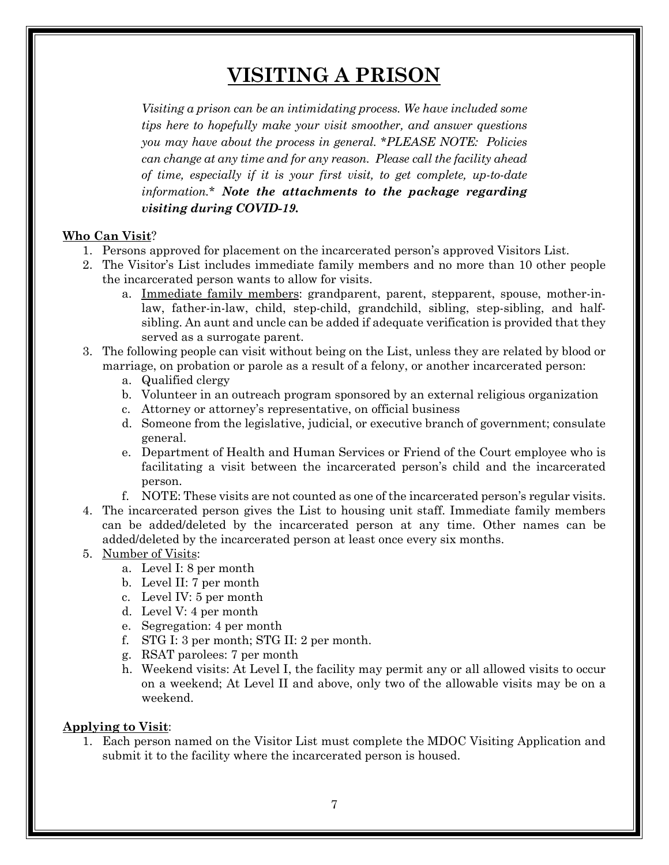# **VISITING A PRISON**

*Visiting a prison can be an intimidating process. We have included some tips here to hopefully make your visit smoother, and answer questions you may have about the process in general.* \**PLEASE NOTE: Policies can change at any time and for any reason. Please call the facility ahead of time, especially if it is your first visit, to get complete, up-to-date information.\* Note the attachments to the package regarding visiting during COVID-19.*

#### **Who Can Visit**?

- 1. Persons approved for placement on the incarcerated person's approved Visitors List.
- 2. The Visitor's List includes immediate family members and no more than 10 other people the incarcerated person wants to allow for visits.
	- a. Immediate family members: grandparent, parent, stepparent, spouse, mother-inlaw, father-in-law, child, step-child, grandchild, sibling, step-sibling, and halfsibling. An aunt and uncle can be added if adequate verification is provided that they served as a surrogate parent.
- 3. The following people can visit without being on the List, unless they are related by blood or marriage, on probation or parole as a result of a felony, or another incarcerated person:
	- a. Qualified clergy
	- b. Volunteer in an outreach program sponsored by an external religious organization
	- c. Attorney or attorney's representative, on official business
	- d. Someone from the legislative, judicial, or executive branch of government; consulate general.
	- e. Department of Health and Human Services or Friend of the Court employee who is facilitating a visit between the incarcerated person's child and the incarcerated person.
	- f. NOTE: These visits are not counted as one of the incarcerated person's regular visits.
- 4. The incarcerated person gives the List to housing unit staff. Immediate family members can be added/deleted by the incarcerated person at any time. Other names can be added/deleted by the incarcerated person at least once every six months.

#### 5. Number of Visits:

- a. Level I: 8 per month
- b. Level II: 7 per month
- c. Level IV: 5 per month
- d. Level V: 4 per month
- e. Segregation: 4 per month
- f. STG I: 3 per month; STG II: 2 per month.
- g. RSAT parolees: 7 per month
- h. Weekend visits: At Level I, the facility may permit any or all allowed visits to occur on a weekend; At Level II and above, only two of the allowable visits may be on a weekend.

#### **Applying to Visit**:

1. Each person named on the Visitor List must complete the MDOC Visiting Application and submit it to the facility where the incarcerated person is housed.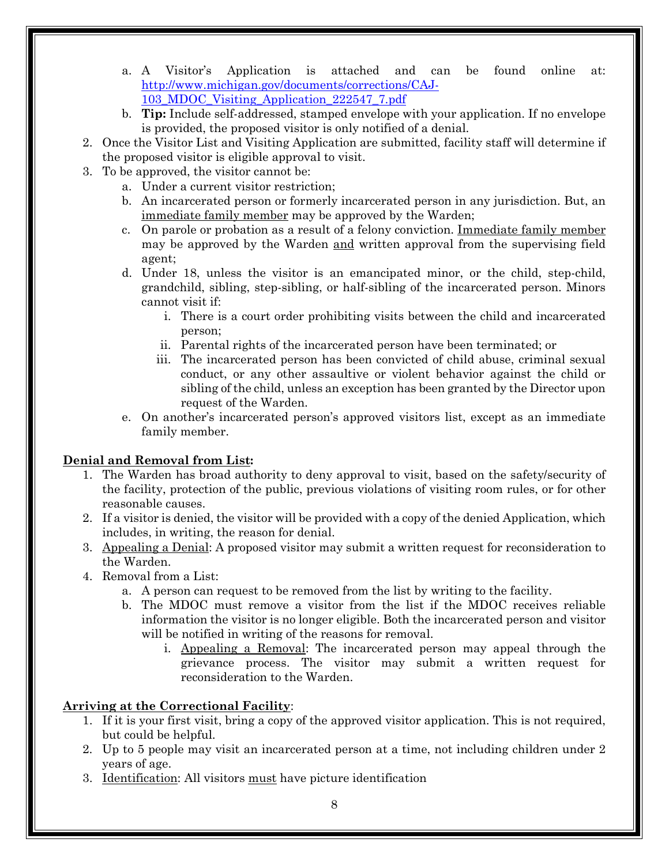- a. A Visitor's Application is attached and can be found online at: [http://www.michigan.gov/documents/corrections/CAJ](http://www.michigan.gov/documents/corrections/CAJ-103_MDOC_Visiting_Application_222547_7.pdf)-[103\\_MDOC\\_Visiting\\_Application\\_222547\\_7.pdf](http://www.michigan.gov/documents/corrections/CAJ-103_MDOC_Visiting_Application_222547_7.pdf)
- b. **Tip:** Include self-addressed, stamped envelope with your application. If no envelope is provided, the proposed visitor is only notified of a denial.
- 2. Once the Visitor List and Visiting Application are submitted, facility staff will determine if the proposed visitor is eligible approval to visit.
- 3. To be approved, the visitor cannot be:
	- a. Under a current visitor restriction;
	- b. An incarcerated person or formerly incarcerated person in any jurisdiction. But, an immediate family member may be approved by the Warden;
	- c. On parole or probation as a result of a felony conviction. Immediate family member may be approved by the Warden and written approval from the supervising field agent;
	- d. Under 18, unless the visitor is an emancipated minor, or the child, step-child, grandchild, sibling, step-sibling, or half-sibling of the incarcerated person. Minors cannot visit if:
		- i. There is a court order prohibiting visits between the child and incarcerated person;
		- ii. Parental rights of the incarcerated person have been terminated; or
		- iii. The incarcerated person has been convicted of child abuse, criminal sexual conduct, or any other assaultive or violent behavior against the child or sibling of the child, unless an exception has been granted by the Director upon request of the Warden.
	- e. On another's incarcerated person's approved visitors list, except as an immediate family member.

#### **Denial and Removal from List:**

- 1. The Warden has broad authority to deny approval to visit, based on the safety/security of the facility, protection of the public, previous violations of visiting room rules, or for other reasonable causes.
- 2. If a visitor is denied, the visitor will be provided with a copy of the denied Application, which includes, in writing, the reason for denial.
- 3. Appealing a Denial: A proposed visitor may submit a written request for reconsideration to the Warden.
- 4. Removal from a List:
	- a. A person can request to be removed from the list by writing to the facility.
	- b. The MDOC must remove a visitor from the list if the MDOC receives reliable information the visitor is no longer eligible. Both the incarcerated person and visitor will be notified in writing of the reasons for removal.
		- i. Appealing a Removal: The incarcerated person may appeal through the grievance process. The visitor may submit a written request for reconsideration to the Warden.

#### **Arriving at the Correctional Facility**:

- 1. If it is your first visit, bring a copy of the approved visitor application. This is not required, but could be helpful.
- 2. Up to 5 people may visit an incarcerated person at a time, not including children under 2 years of age.
- 3. Identification: All visitors must have picture identification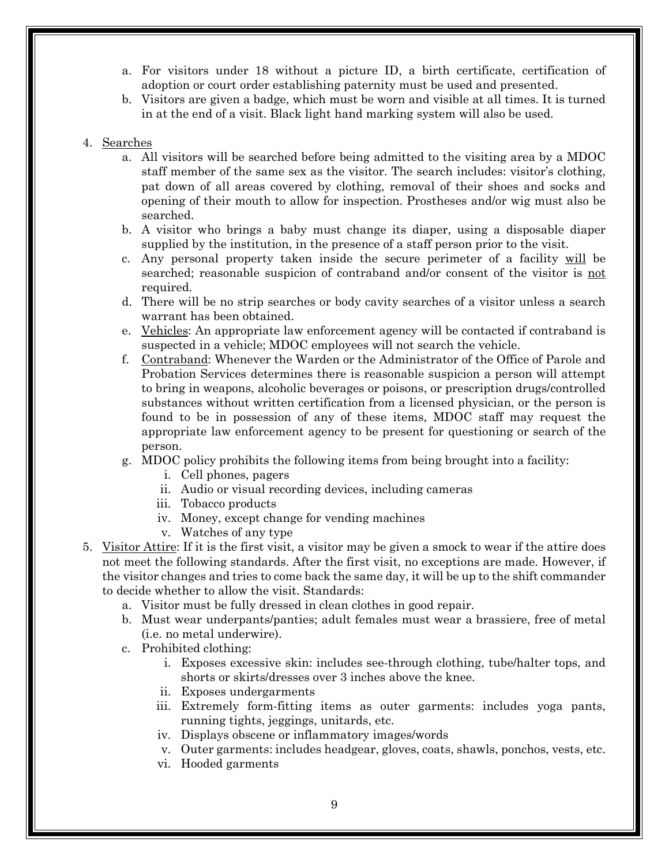- a. For visitors under 18 without a picture ID, a birth certificate, certification of adoption or court order establishing paternity must be used and presented.
- b. Visitors are given a badge, which must be worn and visible at all times. It is turned in at the end of a visit. Black light hand marking system will also be used.

#### 4. Searches

- a. All visitors will be searched before being admitted to the visiting area by a MDOC staff member of the same sex as the visitor. The search includes: visitor's clothing, pat down of all areas covered by clothing, removal of their shoes and socks and opening of their mouth to allow for inspection. Prostheses and/or wig must also be searched.
- b. A visitor who brings a baby must change its diaper, using a disposable diaper supplied by the institution, in the presence of a staff person prior to the visit.
- c. Any personal property taken inside the secure perimeter of a facility will be searched; reasonable suspicion of contraband and/or consent of the visitor is not required.
- d. There will be no strip searches or body cavity searches of a visitor unless a search warrant has been obtained.
- e. Vehicles: An appropriate law enforcement agency will be contacted if contraband is suspected in a vehicle; MDOC employees will not search the vehicle.
- f. Contraband: Whenever the Warden or the Administrator of the Office of Parole and Probation Services determines there is reasonable suspicion a person will attempt to bring in weapons, alcoholic beverages or poisons, or prescription drugs/controlled substances without written certification from a licensed physician, or the person is found to be in possession of any of these items, MDOC staff may request the appropriate law enforcement agency to be present for questioning or search of the person.
- g. MDOC policy prohibits the following items from being brought into a facility:
	- i. Cell phones, pagers
	- ii. Audio or visual recording devices, including cameras
	- iii. Tobacco products
	- iv. Money, except change for vending machines
	- v. Watches of any type
- 5. Visitor Attire: If it is the first visit, a visitor may be given a smock to wear if the attire does not meet the following standards. After the first visit, no exceptions are made. However, if the visitor changes and tries to come back the same day, it will be up to the shift commander to decide whether to allow the visit. Standards:
	- a. Visitor must be fully dressed in clean clothes in good repair.
	- b. Must wear underpants/panties; adult females must wear a brassiere, free of metal (i.e. no metal underwire).
	- c. Prohibited clothing:
		- i. Exposes excessive skin: includes see-through clothing, tube/halter tops, and shorts or skirts/dresses over 3 inches above the knee.
		- ii. Exposes undergarments
		- iii. Extremely form-fitting items as outer garments: includes yoga pants, running tights, jeggings, unitards, etc.
		- iv. Displays obscene or inflammatory images/words
		- v. Outer garments: includes headgear, gloves, coats, shawls, ponchos, vests, etc.
		- vi. Hooded garments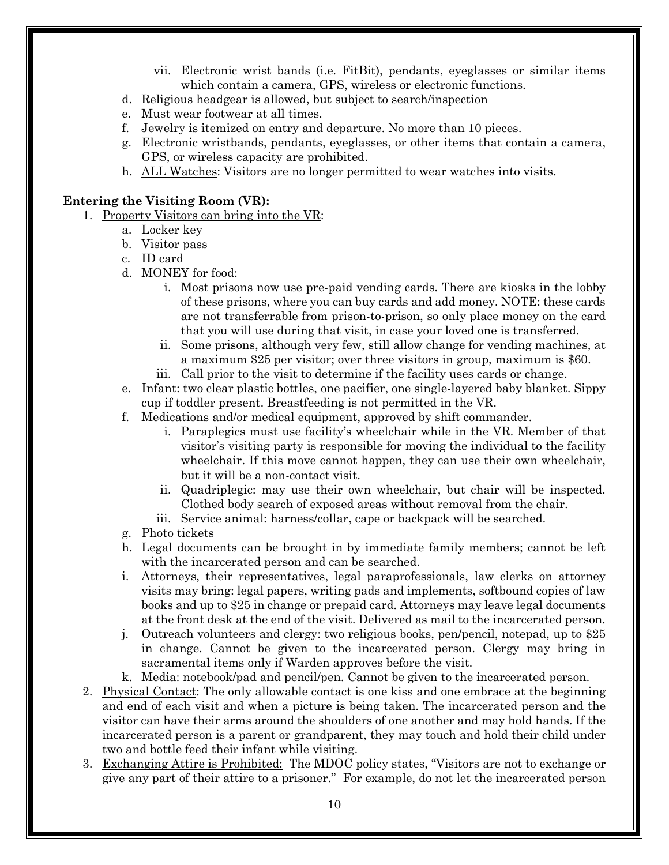- vii. Electronic wrist bands (i.e. FitBit), pendants, eyeglasses or similar items which contain a camera, GPS, wireless or electronic functions.
- d. Religious headgear is allowed, but subject to search/inspection
- e. Must wear footwear at all times.
- f. Jewelry is itemized on entry and departure. No more than 10 pieces.
- g. Electronic wristbands, pendants, eyeglasses, or other items that contain a camera, GPS, or wireless capacity are prohibited.
- h. ALL Watches: Visitors are no longer permitted to wear watches into visits.

#### **Entering the Visiting Room (VR):**

- 1. Property Visitors can bring into the VR:
	- a. Locker key
	- b. Visitor pass
	- c. ID card
	- d. MONEY for food:
		- i. Most prisons now use pre-paid vending cards. There are kiosks in the lobby of these prisons, where you can buy cards and add money. NOTE: these cards are not transferrable from prison-to-prison, so only place money on the card that you will use during that visit, in case your loved one is transferred.
		- ii. Some prisons, although very few, still allow change for vending machines, at a maximum \$25 per visitor; over three visitors in group, maximum is \$60.
		- iii. Call prior to the visit to determine if the facility uses cards or change.
	- e. Infant: two clear plastic bottles, one pacifier, one single-layered baby blanket. Sippy cup if toddler present. Breastfeeding is not permitted in the VR.
	- f. Medications and/or medical equipment, approved by shift commander.
		- i. Paraplegics must use facility's wheelchair while in the VR. Member of that visitor's visiting party is responsible for moving the individual to the facility wheelchair. If this move cannot happen, they can use their own wheelchair, but it will be a non-contact visit.
		- ii. Quadriplegic: may use their own wheelchair, but chair will be inspected. Clothed body search of exposed areas without removal from the chair.
		- iii. Service animal: harness/collar, cape or backpack will be searched.
	- g. Photo tickets
	- h. Legal documents can be brought in by immediate family members; cannot be left with the incarcerated person and can be searched.
	- i. Attorneys, their representatives, legal paraprofessionals, law clerks on attorney visits may bring: legal papers, writing pads and implements, softbound copies of law books and up to \$25 in change or prepaid card. Attorneys may leave legal documents at the front desk at the end of the visit. Delivered as mail to the incarcerated person.
	- j. Outreach volunteers and clergy: two religious books, pen/pencil, notepad, up to \$25 in change. Cannot be given to the incarcerated person. Clergy may bring in sacramental items only if Warden approves before the visit.
	- k. Media: notebook/pad and pencil/pen. Cannot be given to the incarcerated person.
- 2. Physical Contact: The only allowable contact is one kiss and one embrace at the beginning and end of each visit and when a picture is being taken. The incarcerated person and the visitor can have their arms around the shoulders of one another and may hold hands. If the incarcerated person is a parent or grandparent, they may touch and hold their child under two and bottle feed their infant while visiting.
- 3. Exchanging Attire is Prohibited: The MDOC policy states, "Visitors are not to exchange or give any part of their attire to a prisoner." For example, do not let the incarcerated person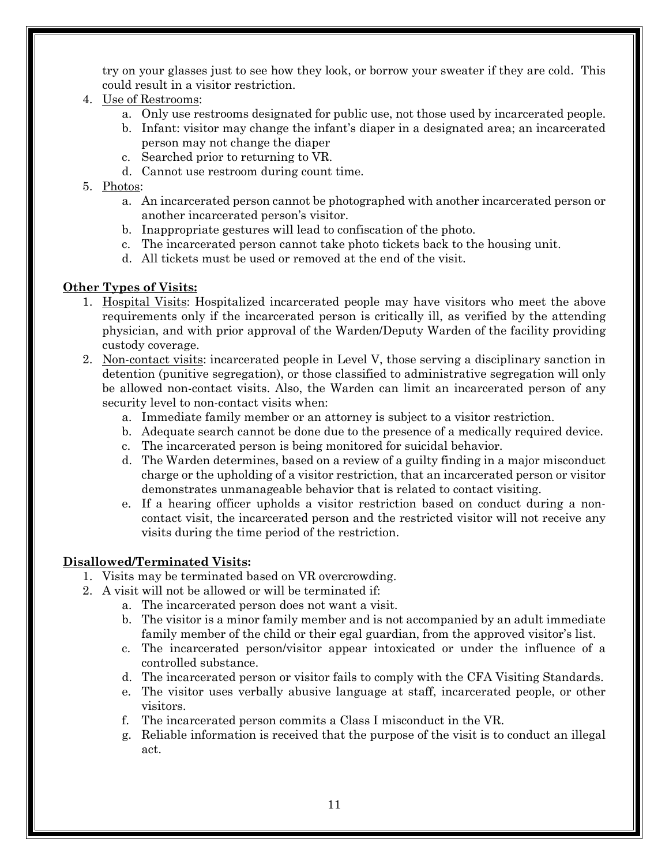try on your glasses just to see how they look, or borrow your sweater if they are cold. This could result in a visitor restriction.

- 4. Use of Restrooms:
	- a. Only use restrooms designated for public use, not those used by incarcerated people.
	- b. Infant: visitor may change the infant's diaper in a designated area; an incarcerated person may not change the diaper
	- c. Searched prior to returning to VR.
	- d. Cannot use restroom during count time.

#### 5. Photos:

- a. An incarcerated person cannot be photographed with another incarcerated person or another incarcerated person's visitor.
- b. Inappropriate gestures will lead to confiscation of the photo.
- c. The incarcerated person cannot take photo tickets back to the housing unit.
- d. All tickets must be used or removed at the end of the visit.

#### **Other Types of Visits:**

- 1. Hospital Visits: Hospitalized incarcerated people may have visitors who meet the above requirements only if the incarcerated person is critically ill, as verified by the attending physician, and with prior approval of the Warden/Deputy Warden of the facility providing custody coverage.
- 2. Non-contact visits: incarcerated people in Level V, those serving a disciplinary sanction in detention (punitive segregation), or those classified to administrative segregation will only be allowed non-contact visits. Also, the Warden can limit an incarcerated person of any security level to non-contact visits when:
	- a. Immediate family member or an attorney is subject to a visitor restriction.
	- b. Adequate search cannot be done due to the presence of a medically required device.
	- c. The incarcerated person is being monitored for suicidal behavior.
	- d. The Warden determines, based on a review of a guilty finding in a major misconduct charge or the upholding of a visitor restriction, that an incarcerated person or visitor demonstrates unmanageable behavior that is related to contact visiting.
	- e. If a hearing officer upholds a visitor restriction based on conduct during a noncontact visit, the incarcerated person and the restricted visitor will not receive any visits during the time period of the restriction.

#### **Disallowed/Terminated Visits:**

- 1. Visits may be terminated based on VR overcrowding.
- 2. A visit will not be allowed or will be terminated if:
	- a. The incarcerated person does not want a visit.
	- b. The visitor is a minor family member and is not accompanied by an adult immediate family member of the child or their egal guardian, from the approved visitor's list.
	- c. The incarcerated person/visitor appear intoxicated or under the influence of a controlled substance.
	- d. The incarcerated person or visitor fails to comply with the CFA Visiting Standards.
	- e. The visitor uses verbally abusive language at staff, incarcerated people, or other visitors.
	- f. The incarcerated person commits a Class I misconduct in the VR.
	- g. Reliable information is received that the purpose of the visit is to conduct an illegal act.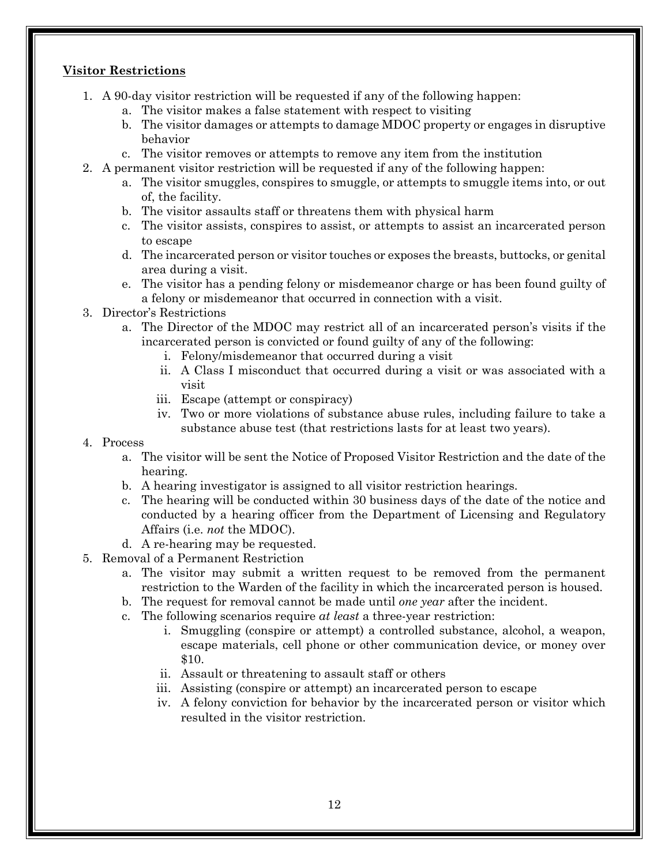#### **Visitor Restrictions**

- 1. A 90-day visitor restriction will be requested if any of the following happen:
	- a. The visitor makes a false statement with respect to visiting
	- b. The visitor damages or attempts to damage MDOC property or engages in disruptive behavior
	- c. The visitor removes or attempts to remove any item from the institution
- 2. A permanent visitor restriction will be requested if any of the following happen:
	- a. The visitor smuggles, conspires to smuggle, or attempts to smuggle items into, or out of, the facility.
	- b. The visitor assaults staff or threatens them with physical harm
	- c. The visitor assists, conspires to assist, or attempts to assist an incarcerated person to escape
	- d. The incarcerated person or visitor touches or exposes the breasts, buttocks, or genital area during a visit.
	- e. The visitor has a pending felony or misdemeanor charge or has been found guilty of a felony or misdemeanor that occurred in connection with a visit.
- 3. Director's Restrictions
	- a. The Director of the MDOC may restrict all of an incarcerated person's visits if the incarcerated person is convicted or found guilty of any of the following:
		- i. Felony/misdemeanor that occurred during a visit
		- ii. A Class I misconduct that occurred during a visit or was associated with a visit
		- iii. Escape (attempt or conspiracy)
		- iv. Two or more violations of substance abuse rules, including failure to take a substance abuse test (that restrictions lasts for at least two years).

#### 4. Process

- a. The visitor will be sent the Notice of Proposed Visitor Restriction and the date of the hearing.
- b. A hearing investigator is assigned to all visitor restriction hearings.
- c. The hearing will be conducted within 30 business days of the date of the notice and conducted by a hearing officer from the Department of Licensing and Regulatory Affairs (i.e. *not* the MDOC).
- d. A re-hearing may be requested.
- 5. Removal of a Permanent Restriction
	- a. The visitor may submit a written request to be removed from the permanent restriction to the Warden of the facility in which the incarcerated person is housed.
	- b. The request for removal cannot be made until *one year* after the incident.
	- c. The following scenarios require *at least* a three-year restriction:
		- i. Smuggling (conspire or attempt) a controlled substance, alcohol, a weapon, escape materials, cell phone or other communication device, or money over \$10.
		- ii. Assault or threatening to assault staff or others
		- iii. Assisting (conspire or attempt) an incarcerated person to escape
		- iv. A felony conviction for behavior by the incarcerated person or visitor which resulted in the visitor restriction.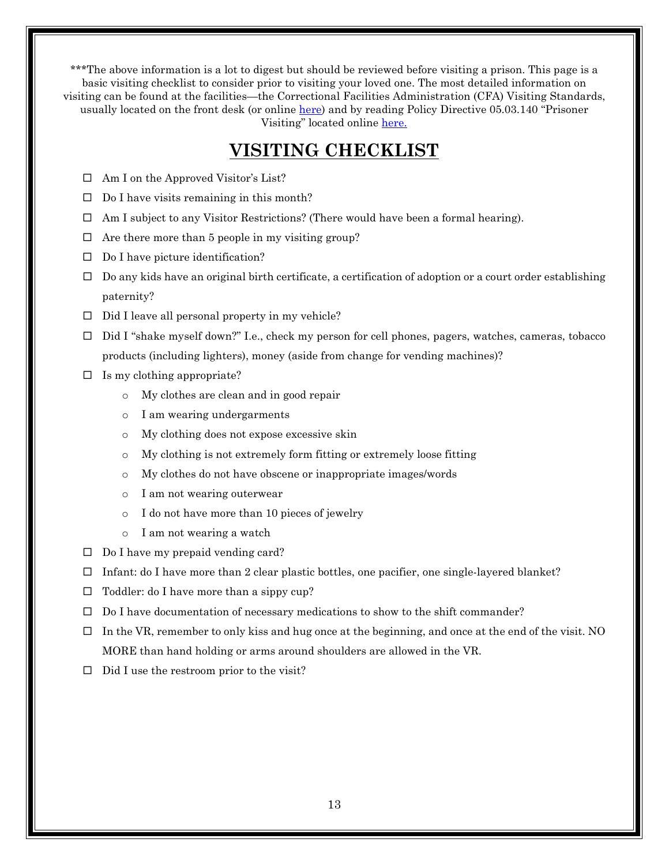\*\*\*The above information is a lot to digest but should be reviewed before visiting a prison. This page is a basic visiting checklist to consider prior to visiting your loved one. The most detailed information on visiting can be found at the facilities—the Correctional Facilities Administration (CFA) Visiting Standards, usually located on the front desk (or online [here\)](http://www.michigan.gov/documents/corrections/VISITING_STANDARDS_-_ENGLISH_426641_7.pdf?%7bC%7d%7bC%7d%7bC%7d%7bC%7d%7bC%7d%7bC%7d20180131161356) and by reading Policy Directive 05.03.140 "Prisoner Visiting" located online [here](http://www.michigan.gov/documents/corrections/05_03_140_571675_7.pdf).

## **VISITING CHECKLIST**

- $\Box$  Am I on the Approved Visitor's List?
- $\Box$  Do I have visits remaining in this month?
- $\Box$  Am I subject to any Visitor Restrictions? (There would have been a formal hearing).
- $\Box$  Are there more than 5 people in my visiting group?
- $\Box$  Do I have picture identification?
- $\Box$  Do any kids have an original birth certificate, a certification of adoption or a court order establishing paternity?
- $\Box$  Did I leave all personal property in my vehicle?
- Did I "shake myself down?" I.e., check my person for cell phones, pagers, watches, cameras, tobacco products (including lighters), money (aside from change for vending machines)?
- $\Box$  Is my clothing appropriate?
	- o My clothes are clean and in good repair
	- o I am wearing undergarments
	- o My clothing does not expose excessive skin
	- o My clothing is not extremely form fitting or extremely loose fitting
	- o My clothes do not have obscene or inappropriate images/words
	- o I am not wearing outerwear
	- o I do not have more than 10 pieces of jewelry
	- o I am not wearing a watch
- $\Box$  Do I have my prepaid vending card?
- $\Box$  Infant: do I have more than 2 clear plastic bottles, one pacifier, one single-layered blanket?
- $\Box$  Toddler: do I have more than a sippy cup?
- $\Box$  Do I have documentation of necessary medications to show to the shift commander?
- $\Box$  In the VR, remember to only kiss and hug once at the beginning, and once at the end of the visit. NO MORE than hand holding or arms around shoulders are allowed in the VR.
- $\Box$  Did I use the restroom prior to the visit?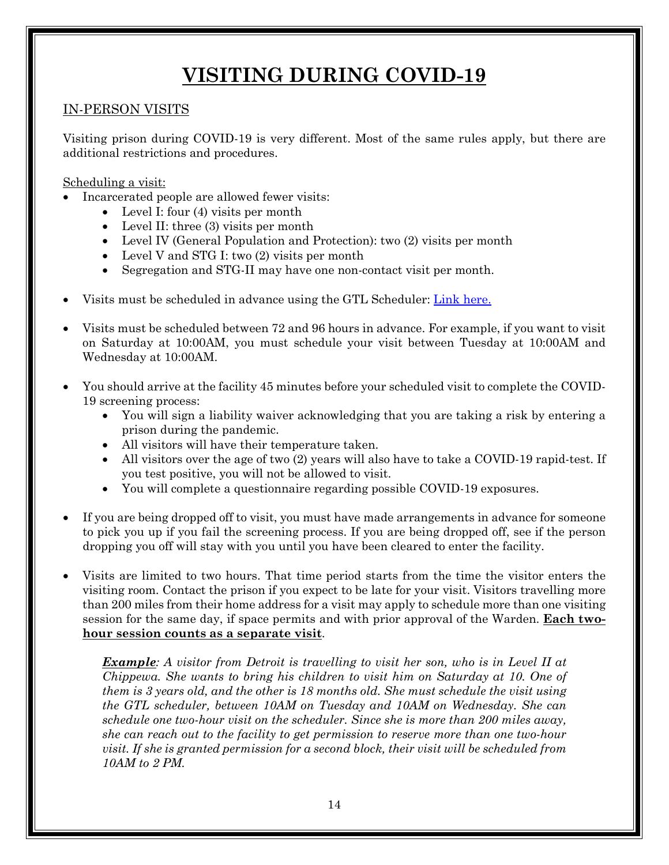# **VISITING DURING COVID-19**

### IN-PERSON VISITS

Visiting prison during COVID-19 is very different. Most of the same rules apply, but there are additional restrictions and procedures.

Scheduling a visit:

- Incarcerated people are allowed fewer visits:
	- Level I: four  $(4)$  visits per month
	- Level II: three (3) visits per month
	- Level IV (General Population and Protection): two (2) visits per month
	- Level V and STG I: two (2) visits per month
	- Segregation and STG-II may have one non-contact visit per month.
- Visits must be scheduled in advance using the GTL Scheduler: [Link here.](https://midoc.gtlvisitme.com/app#:%7E:text=All%20individuals%20who%20are%20approved,hours%20prior%20to%20the%20visit)
- Visits must be scheduled between 72 and 96 hours in advance. For example, if you want to visit on Saturday at 10:00AM, you must schedule your visit between Tuesday at 10:00AM and Wednesday at 10:00AM.
- You should arrive at the facility 45 minutes before your scheduled visit to complete the COVID-19 screening process:
	- You will sign a liability waiver acknowledging that you are taking a risk by entering a prison during the pandemic.
	- All visitors will have their temperature taken.
	- All visitors over the age of two (2) years will also have to take a COVID-19 rapid-test. If you test positive, you will not be allowed to visit.
	- You will complete a questionnaire regarding possible COVID-19 exposures.
- If you are being dropped off to visit, you must have made arrangements in advance for someone to pick you up if you fail the screening process. If you are being dropped off, see if the person dropping you off will stay with you until you have been cleared to enter the facility.
- Visits are limited to two hours. That time period starts from the time the visitor enters the visiting room. Contact the prison if you expect to be late for your visit. Visitors travelling more than 200 miles from their home address for a visit may apply to schedule more than one visiting session for the same day, if space permits and with prior approval of the Warden. **Each twohour session counts as a separate visit**.

*Example: A visitor from Detroit is travelling to visit her son, who is in Level II at Chippewa. She wants to bring his children to visit him on Saturday at 10. One of them is 3 years old, and the other is 18 months old. She must schedule the visit using the GTL scheduler, between 10AM on Tuesday and 10AM on Wednesday. She can schedule one two-hour visit on the scheduler. Since she is more than 200 miles away, she can reach out to the facility to get permission to reserve more than one two-hour visit. If she is granted permission for a second block, their visit will be scheduled from 10AM to 2 PM.*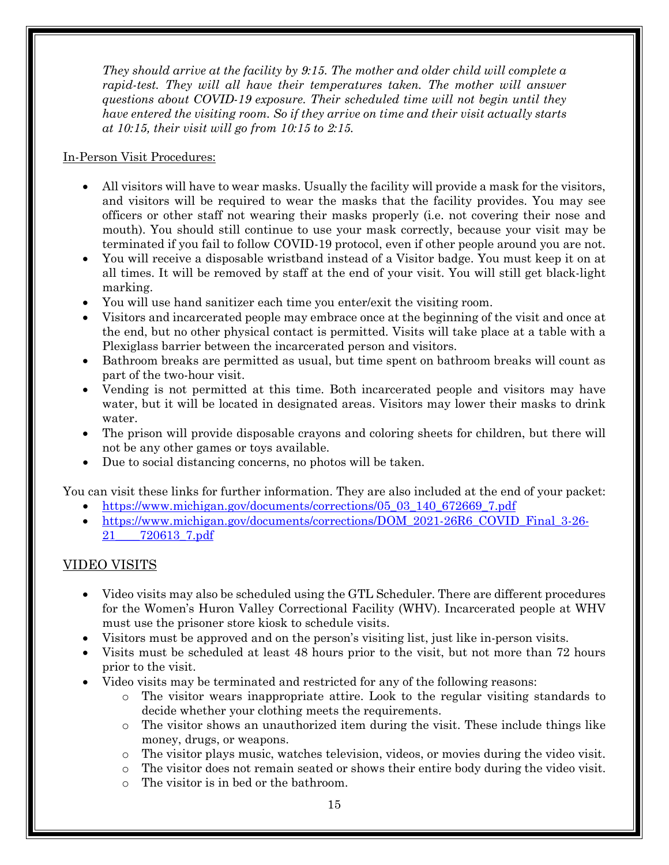*They should arrive at the facility by 9:15. The mother and older child will complete a rapid-test. They will all have their temperatures taken. The mother will answer questions about COVID-19 exposure. Their scheduled time will not begin until they have entered the visiting room. So if they arrive on time and their visit actually starts at 10:15, their visit will go from 10:15 to 2:15.*

#### In-Person Visit Procedures:

- All visitors will have to wear masks. Usually the facility will provide a mask for the visitors, and visitors will be required to wear the masks that the facility provides. You may see officers or other staff not wearing their masks properly (i.e. not covering their nose and mouth). You should still continue to use your mask correctly, because your visit may be terminated if you fail to follow COVID-19 protocol, even if other people around you are not.
- You will receive a disposable wristband instead of a Visitor badge. You must keep it on at all times. It will be removed by staff at the end of your visit. You will still get black-light marking.
- You will use hand sanitizer each time you enter/exit the visiting room.
- Visitors and incarcerated people may embrace once at the beginning of the visit and once at the end, but no other physical contact is permitted. Visits will take place at a table with a Plexiglass barrier between the incarcerated person and visitors.
- Bathroom breaks are permitted as usual, but time spent on bathroom breaks will count as part of the two-hour visit.
- Vending is not permitted at this time. Both incarcerated people and visitors may have water, but it will be located in designated areas. Visitors may lower their masks to drink water.
- The prison will provide disposable crayons and coloring sheets for children, but there will not be any other games or toys available.
- Due to social distancing concerns, no photos will be taken.

You can visit these links for further information. They are also included at the end of your packet:

- [https://www.michigan.gov/documents/corrections/05\\_03\\_140\\_672669\\_7.pdf](https://www.michigan.gov/documents/corrections/05_03_140_672669_7.pdf)
- [https://www.michigan.gov/documents/corrections/DOM\\_2021](https://www.michigan.gov/documents/corrections/DOM_2021-26R6_COVID_Final_3-26-21____720613_7.pdf)[-](https://www.michigan.gov/documents/corrections/DOM_2021-26R6_COVID_Final_3-26-21____720613_7.pdf)26R6\_COVID\_Final 3-26-[21\\_\\_\\_\\_720613\\_7.pdf](https://www.michigan.gov/documents/corrections/DOM_2021-26R6_COVID_Final_3-26-21____720613_7.pdf)

### VIDEO VISITS

- Video visits may also be scheduled using the GTL Scheduler. There are different procedures for the Women's Huron Valley Correctional Facility (WHV). Incarcerated people at WHV must use the prisoner store kiosk to schedule visits.
- Visitors must be approved and on the person's visiting list, just like in-person visits.
- Visits must be scheduled at least 48 hours prior to the visit, but not more than 72 hours prior to the visit.
- Video visits may be terminated and restricted for any of the following reasons:
	- o The visitor wears inappropriate attire. Look to the regular visiting standards to decide whether your clothing meets the requirements.
	- o The visitor shows an unauthorized item during the visit. These include things like money, drugs, or weapons.
	- o The visitor plays music, watches television, videos, or movies during the video visit.
	- o The visitor does not remain seated or shows their entire body during the video visit.
	- o The visitor is in bed or the bathroom.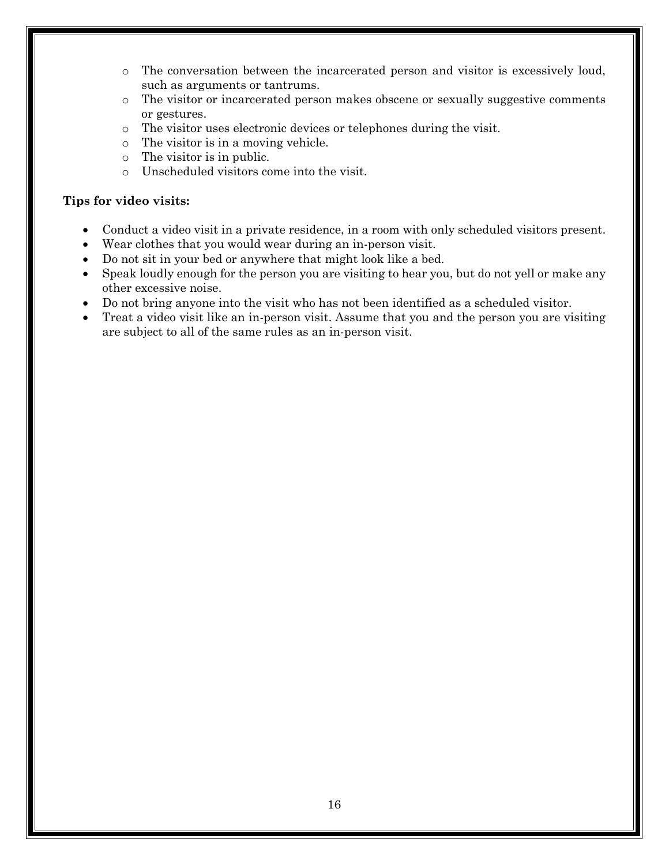- o The conversation between the incarcerated person and visitor is excessively loud, such as arguments or tantrums.
- o The visitor or incarcerated person makes obscene or sexually suggestive comments or gestures.
- $\circ$  The visitor uses electronic devices or telephones during the visit.<br> $\circ$  The visitor is in a moving vehicle.
- The visitor is in a moving vehicle.
- o The visitor is in public.
- o Unscheduled visitors come into the visit.

#### **Tips for video visits:**

- Conduct a video visit in a private residence, in a room with only scheduled visitors present.
- Wear clothes that you would wear during an in-person visit.
- Do not sit in your bed or anywhere that might look like a bed.
- Speak loudly enough for the person you are visiting to hear you, but do not yell or make any other excessive noise.
- Do not bring anyone into the visit who has not been identified as a scheduled visitor.
- Treat a video visit like an in-person visit. Assume that you and the person you are visiting are subject to all of the same rules as an in-person visit.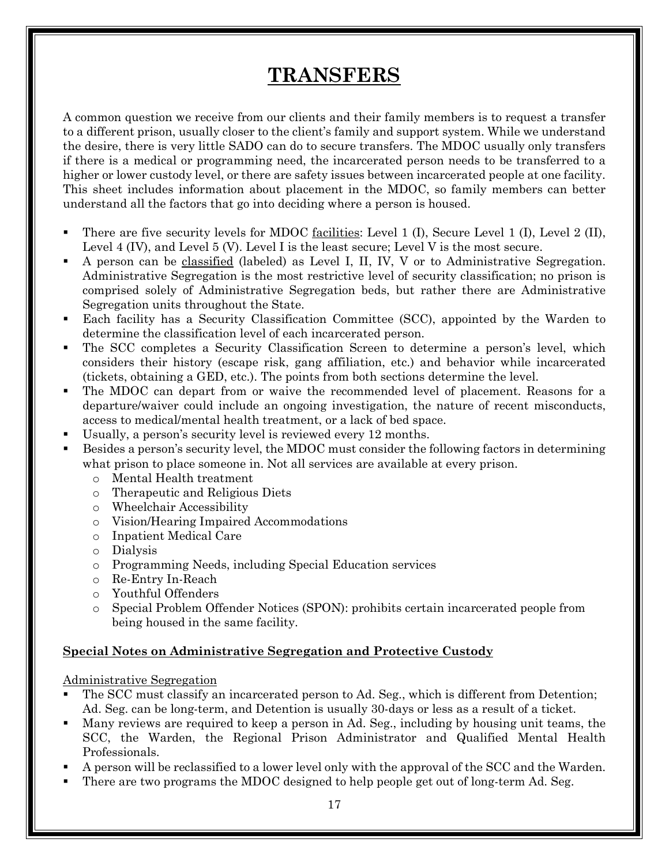# **TRANSFERS**

A common question we receive from our clients and their family members is to request a transfer to a different prison, usually closer to the client's family and support system. While we understand the desire, there is very little SADO can do to secure transfers. The MDOC usually only transfers if there is a medical or programming need, the incarcerated person needs to be transferred to a higher or lower custody level, or there are safety issues between incarcerated people at one facility. This sheet includes information about placement in the MDOC, so family members can better understand all the factors that go into deciding where a person is housed.

- There are five security levels for MDOC facilities: Level 1 (I), Secure Level 1 (I), Level 2 (II), Level 4 (IV), and Level 5 (V). Level I is the least secure; Level V is the most secure.
- A person can be classified (labeled) as Level I, II, IV, V or to Administrative Segregation. Administrative Segregation is the most restrictive level of security classification; no prison is comprised solely of Administrative Segregation beds, but rather there are Administrative Segregation units throughout the State.
- Each facility has a Security Classification Committee (SCC), appointed by the Warden to determine the classification level of each incarcerated person.
- The SCC completes a Security Classification Screen to determine a person's level, which considers their history (escape risk, gang affiliation, etc.) and behavior while incarcerated (tickets, obtaining a GED, etc.). The points from both sections determine the level.
- The MDOC can depart from or waive the recommended level of placement. Reasons for a departure/waiver could include an ongoing investigation, the nature of recent misconducts, access to medical/mental health treatment, or a lack of bed space.
- Usually, a person's security level is reviewed every 12 months.
- Besides a person's security level, the MDOC must consider the following factors in determining what prison to place someone in. Not all services are available at every prison.
	- o Mental Health treatment
	- o Therapeutic and Religious Diets
	- o Wheelchair Accessibility
	- o Vision/Hearing Impaired Accommodations
	- o Inpatient Medical Care
	- o Dialysis
	- o Programming Needs, including Special Education services
	- o Re-Entry In-Reach
	- o Youthful Offenders
	- o Special Problem Offender Notices (SPON): prohibits certain incarcerated people from being housed in the same facility.

#### **Special Notes on Administrative Segregation and Protective Custody**

Administrative Segregation

- The SCC must classify an incarcerated person to Ad. Seg., which is different from Detention; Ad. Seg. can be long-term, and Detention is usually 30-days or less as a result of a ticket.
- Many reviews are required to keep a person in Ad. Seg., including by housing unit teams, the SCC, the Warden, the Regional Prison Administrator and Qualified Mental Health Professionals.
- A person will be reclassified to a lower level only with the approval of the SCC and the Warden.
- There are two programs the MDOC designed to help people get out of long-term Ad. Seg.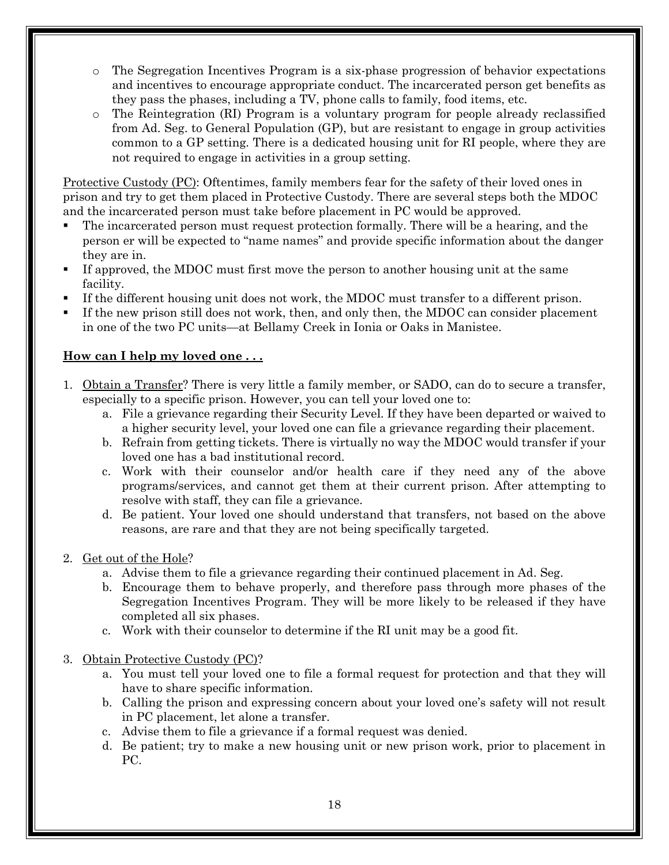- o The Segregation Incentives Program is a six-phase progression of behavior expectations and incentives to encourage appropriate conduct. The incarcerated person get benefits as they pass the phases, including a TV, phone calls to family, food items, etc.
- The Reintegration (RI) Program is a voluntary program for people already reclassified from Ad. Seg. to General Population (GP), but are resistant to engage in group activities common to a GP setting. There is a dedicated housing unit for RI people, where they are not required to engage in activities in a group setting.

Protective Custody (PC): Oftentimes, family members fear for the safety of their loved ones in prison and try to get them placed in Protective Custody. There are several steps both the MDOC and the incarcerated person must take before placement in PC would be approved.

- The incarcerated person must request protection formally. There will be a hearing, and the person er will be expected to "name names" and provide specific information about the danger they are in.
- If approved, the MDOC must first move the person to another housing unit at the same facility.
- If the different housing unit does not work, the MDOC must transfer to a different prison.
- If the new prison still does not work, then, and only then, the MDOC can consider placement in one of the two PC units—at Bellamy Creek in Ionia or Oaks in Manistee.

#### **How can I help my loved one . . .**

- 1. Obtain a Transfer? There is very little a family member, or SADO, can do to secure a transfer, especially to a specific prison. However, you can tell your loved one to:
	- a. File a grievance regarding their Security Level. If they have been departed or waived to a higher security level, your loved one can file a grievance regarding their placement.
	- b. Refrain from getting tickets. There is virtually no way the MDOC would transfer if your loved one has a bad institutional record.
	- c. Work with their counselor and/or health care if they need any of the above programs/services, and cannot get them at their current prison. After attempting to resolve with staff, they can file a grievance.
	- d. Be patient. Your loved one should understand that transfers, not based on the above reasons, are rare and that they are not being specifically targeted.

#### 2. Get out of the Hole?

- a. Advise them to file a grievance regarding their continued placement in Ad. Seg.
- b. Encourage them to behave properly, and therefore pass through more phases of the Segregation Incentives Program. They will be more likely to be released if they have completed all six phases.
- c. Work with their counselor to determine if the RI unit may be a good fit.
- 3. Obtain Protective Custody (PC)?
	- a. You must tell your loved one to file a formal request for protection and that they will have to share specific information.
	- b. Calling the prison and expressing concern about your loved one's safety will not result in PC placement, let alone a transfer.
	- c. Advise them to file a grievance if a formal request was denied.
	- d. Be patient; try to make a new housing unit or new prison work, prior to placement in PC.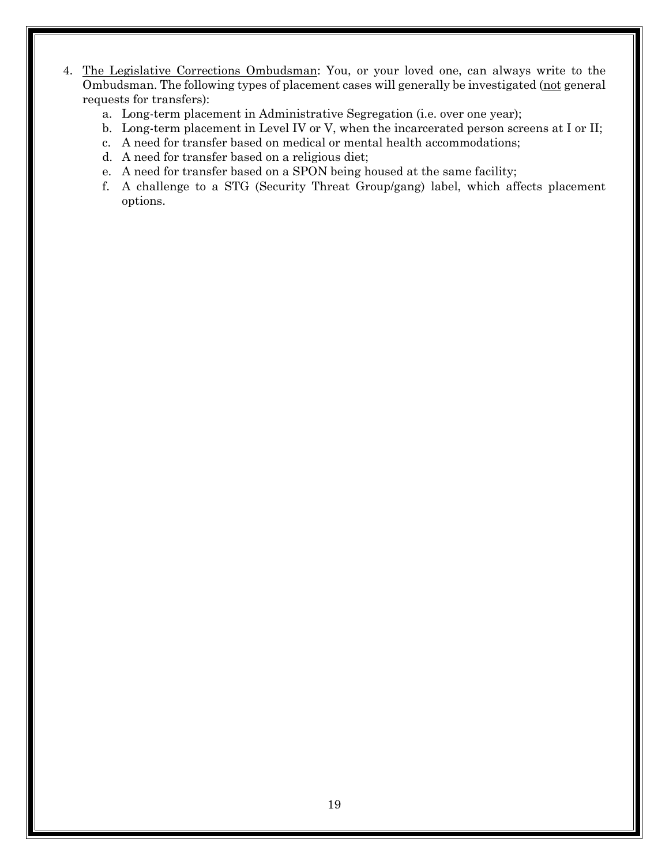- 4. The Legislative Corrections Ombudsman: You, or your loved one, can always write to the Ombudsman. The following types of placement cases will generally be investigated (not general requests for transfers):
	- a. Long-term placement in Administrative Segregation (i.e. over one year);
	- b. Long-term placement in Level IV or V, when the incarcerated person screens at I or II;
	- c. A need for transfer based on medical or mental health accommodations;
	- d. A need for transfer based on a religious diet;
	- e. A need for transfer based on a SPON being housed at the same facility;
	- f. A challenge to a STG (Security Threat Group/gang) label, which affects placement options.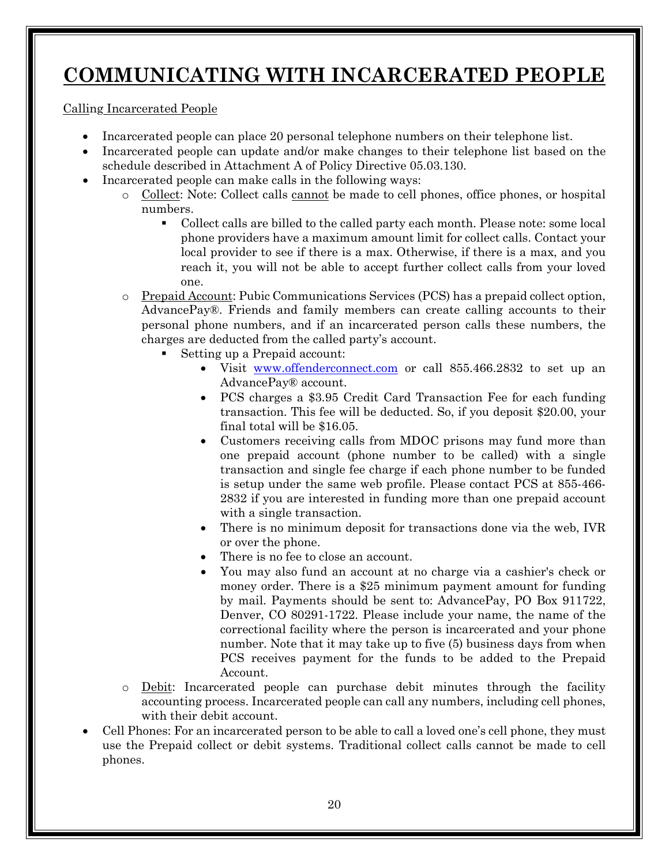# **COMMUNICATING WITH INCARCERATED PEOPLE**

Calling Incarcerated People

- Incarcerated people can place 20 personal telephone numbers on their telephone list.
- Incarcerated people can update and/or make changes to their telephone list based on the schedule described in Attachment A of Policy Directive 05.03.130.
- Incarcerated people can make calls in the following ways:
	- o Collect: Note: Collect calls cannot be made to cell phones, office phones, or hospital numbers.
		- Collect calls are billed to the called party each month. Please note: some local phone providers have a maximum amount limit for collect calls. Contact your local provider to see if there is a max. Otherwise, if there is a max, and you reach it, you will not be able to accept further collect calls from your loved one.
	- o Prepaid Account: Pubic Communications Services (PCS) has a prepaid collect option, AdvancePay®. Friends and family members can create calling accounts to their personal phone numbers, and if an incarcerated person calls these numbers, the charges are deducted from the called party's account.
		- Setting up a Prepaid account:
			- Visit [www.offenderconnect.com](http://www.offenderconnect.com/) or call 855.466.2832 to set up an AdvancePay® account.
			- PCS charges a \$3.95 Credit Card Transaction Fee for each funding transaction. This fee will be deducted. So, if you deposit \$20.00, your final total will be \$16.05.
			- Customers receiving calls from MDOC prisons may fund more than one prepaid account (phone number to be called) with a single transaction and single fee charge if each phone number to be funded is setup under the same web profile. Please contact PCS at 855-466- 2832 if you are interested in funding more than one prepaid account with a single transaction.
			- There is no minimum deposit for transactions done via the web, IVR or over the phone.
			- There is no fee to close an account.
			- You may also fund an account at no charge via a cashier's check or money order. There is a \$25 minimum payment amount for funding by mail. Payments should be sent to: AdvancePay, PO Box 911722, Denver, CO 80291-1722. Please include your name, the name of the correctional facility where the person is incarcerated and your phone number. Note that it may take up to five (5) business days from when PCS receives payment for the funds to be added to the Prepaid Account.
	- o Debit: Incarcerated people can purchase debit minutes through the facility accounting process. Incarcerated people can call any numbers, including cell phones, with their debit account.
- Cell Phones: For an incarcerated person to be able to call a loved one's cell phone, they must use the Prepaid collect or debit systems. Traditional collect calls cannot be made to cell phones.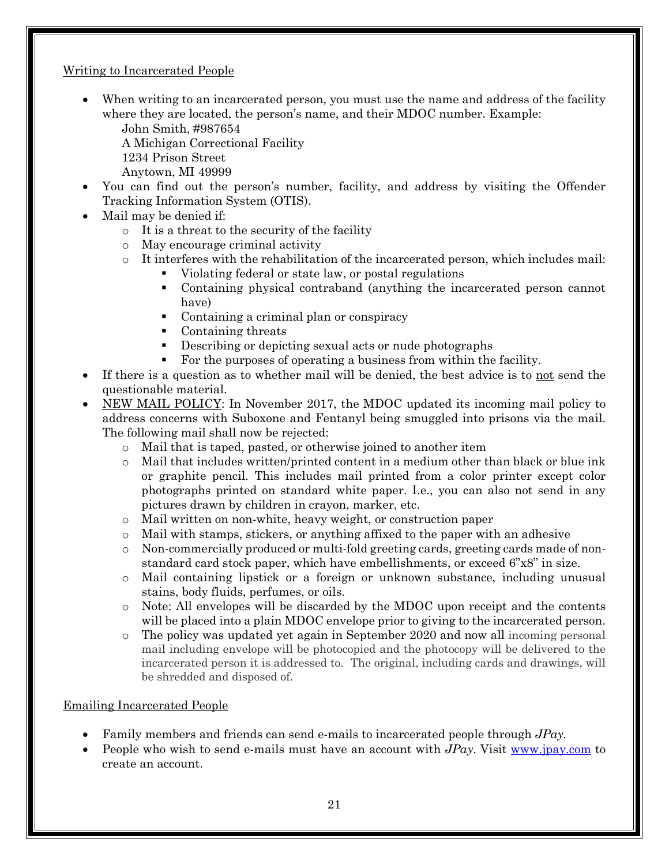#### Writing to Incarcerated People

• When writing to an incarcerated person, you must use the name and address of the facility where they are located, the person's name, and their MDOC number. Example:

John Smith, #987654 A Michigan Correctional Facility

- 1234 Prison Street
- Anytown, MI 49999
- You can find out the person's number, facility, and address by visiting the Offender Tracking Information System (OTIS).
- Mail may be denied if:
	- o It is a threat to the security of the facility
	- o May encourage criminal activity
	- $\circ$  It interferes with the rehabilitation of the incarcerated person, which includes mail:
		- Violating federal or state law, or postal regulations
		- Containing physical contraband (anything the incarcerated person cannot have)
		- Containing a criminal plan or conspiracy
		- Containing threats
		- Describing or depicting sexual acts or nude photographs
		- For the purposes of operating a business from within the facility.
- If there is a question as to whether mail will be denied, the best advice is to not send the questionable material.
- NEW MAIL POLICY: In November 2017, the MDOC updated its incoming mail policy to address concerns with Suboxone and Fentanyl being smuggled into prisons via the mail. The following mail shall now be rejected:
	- o Mail that is taped, pasted, or otherwise joined to another item
	- o Mail that includes written/printed content in a medium other than black or blue ink or graphite pencil. This includes mail printed from a color printer except color photographs printed on standard white paper. I.e., you can also not send in any pictures drawn by children in crayon, marker, etc.
	- o Mail written on non-white, heavy weight, or construction paper
	- o Mail with stamps, stickers, or anything affixed to the paper with an adhesive
	- o Non-commercially produced or multi-fold greeting cards, greeting cards made of nonstandard card stock paper, which have embellishments, or exceed 6"x8" in size.
	- o Mail containing lipstick or a foreign or unknown substance, including unusual stains, body fluids, perfumes, or oils.
	- o Note: All envelopes will be discarded by the MDOC upon receipt and the contents will be placed into a plain MDOC envelope prior to giving to the incarcerated person.
	- o The policy was updated yet again in September 2020 and now all incoming personal mail including envelope will be photocopied and the photocopy will be delivered to the incarcerated person it is addressed to. The original, including cards and drawings, will be shredded and disposed of.

#### Emailing Incarcerated People

- Family members and friends can send e-mails to incarcerated people through *JPay.*
- People who wish to send e-mails must have an account with *JPay*. Visit [w](http://www.jpay.com/)[ww.jpay.com](http://www.jpay.com/) to create an account.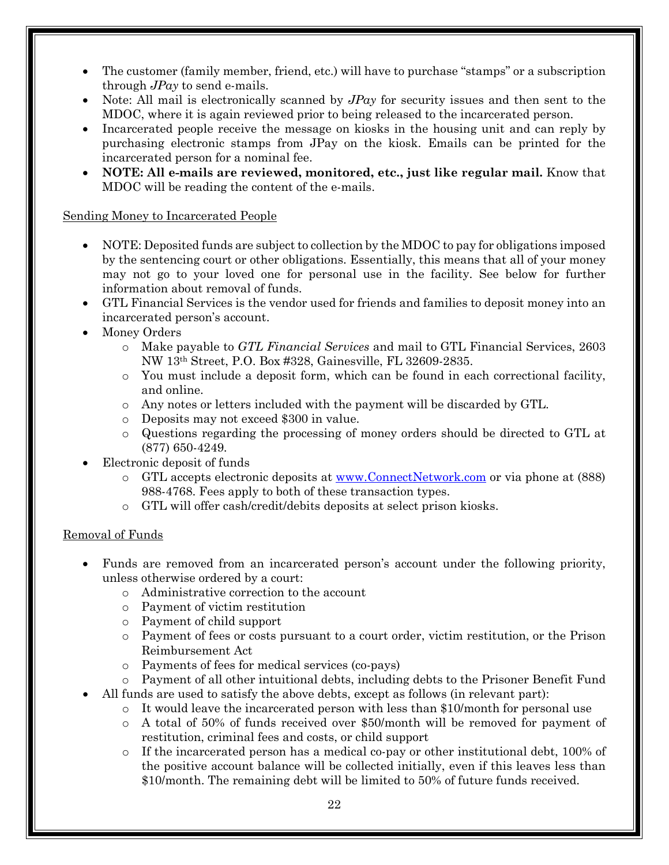- The customer (family member, friend, etc.) will have to purchase "stamps" or a subscription through *JPay* to send e-mails.
- Note: All mail is electronically scanned by *JPay* for security issues and then sent to the MDOC, where it is again reviewed prior to being released to the incarcerated person.
- Incarcerated people receive the message on kiosks in the housing unit and can reply by purchasing electronic stamps from JPay on the kiosk. Emails can be printed for the incarcerated person for a nominal fee.
- **NOTE: All e-mails are reviewed, monitored, etc., just like regular mail.** Know that MDOC will be reading the content of the e-mails.

#### Sending Money to Incarcerated People

- NOTE: Deposited funds are subject to collection by the MDOC to pay for obligations imposed by the sentencing court or other obligations. Essentially, this means that all of your money may not go to your loved one for personal use in the facility. See below for further information about removal of funds.
- GTL Financial Services is the vendor used for friends and families to deposit money into an incarcerated person's account.
- Money Orders
	- o Make payable to *GTL Financial Services* and mail to GTL Financial Services, 2603 NW 13th Street, P.O. Box #328, Gainesville, FL 32609-2835.
	- o You must include a deposit form, which can be found in each correctional facility, and online.
	- o Any notes or letters included with the payment will be discarded by GTL.
	- o Deposits may not exceed \$300 in value.
	- o Questions regarding the processing of money orders should be directed to GTL at (877) 650-4249.
- Electronic deposit of funds
	- o GTL accepts electronic deposits at [www.ConnectNetwork.com](http://www.connectnetwork.com/) or via phone at (888) 988-4768. Fees apply to both of these transaction types.
	- o GTL will offer cash/credit/debits deposits at select prison kiosks.

#### Removal of Funds

- Funds are removed from an incarcerated person's account under the following priority, unless otherwise ordered by a court:
	- o Administrative correction to the account
	- o Payment of victim restitution
	- o Payment of child support
	- o Payment of fees or costs pursuant to a court order, victim restitution, or the Prison Reimbursement Act
	- o Payments of fees for medical services (co-pays)
	- o Payment of all other intuitional debts, including debts to the Prisoner Benefit Fund
- All funds are used to satisfy the above debts, except as follows (in relevant part):
	- $\circ$  It would leave the incarcerated person with less than \$10/month for personal use
	- o A total of 50% of funds received over \$50/month will be removed for payment of restitution, criminal fees and costs, or child support
	- o If the incarcerated person has a medical co-pay or other institutional debt, 100% of the positive account balance will be collected initially, even if this leaves less than \$10/month. The remaining debt will be limited to 50% of future funds received.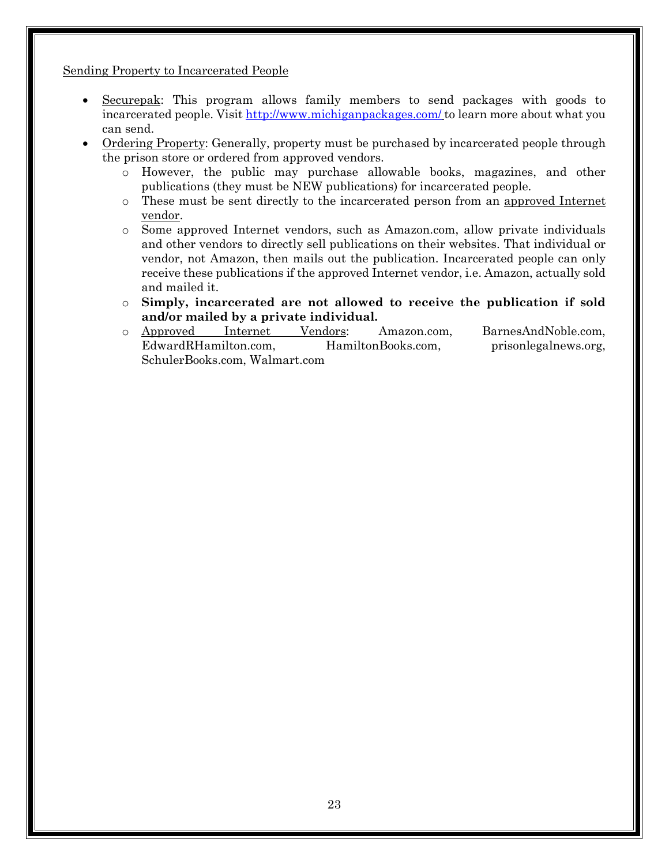Sending Property to Incarcerated People

- Securepak: This program allows family members to send packages with goods to incarcerated people. Visit <http://www.michiganpackages.com/> to learn more about what you can send.
- Ordering Property: Generally, property must be purchased by incarcerated people through the prison store or ordered from approved vendors.
	- o However, the public may purchase allowable books, magazines, and other publications (they must be NEW publications) for incarcerated people.
	- o These must be sent directly to the incarcerated person from an approved Internet vendor.
	- o Some approved Internet vendors, such as Amazon.com, allow private individuals and other vendors to directly sell publications on their websites. That individual or vendor, not Amazon, then mails out the publication. Incarcerated people can only receive these publications if the approved Internet vendor, i.e. Amazon, actually sold and mailed it.
	- o **Simply, incarcerated are not allowed to receive the publication if sold and/or mailed by a private individual.**
	- o Approved Internet Vendors: [Amazon.com](http://www.amazon.com/), [BarnesAndNoble.com](http://www.bn.com/),<br>EdwardRHamilton.com, HamiltonBooks.com, prisonlegalnews.org, [EdwardRHamilton.com](http://www.edwardrhamilton.com/), [SchulerBooks.com](http://www.schulerbooks.com/), [Walmart.com](http://www.walmart.com/)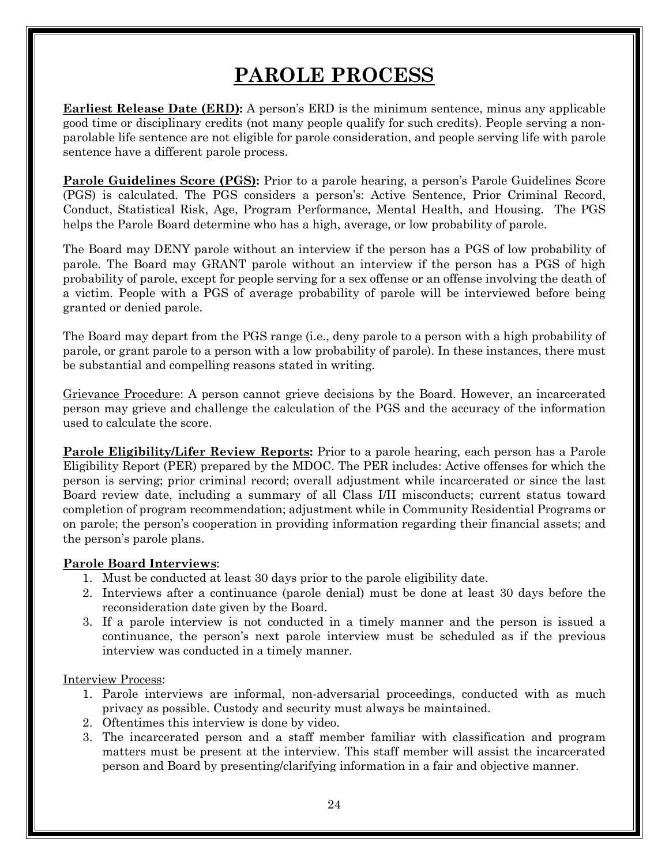# **PAROLE PROCESS**

**Earliest Release Date (ERD):** A person's ERD is the minimum sentence, minus any applicable good time or disciplinary credits (not many people qualify for such credits). People serving a nonparolable life sentence are not eligible for parole consideration, and people serving life with parole sentence have a different parole process.

**Parole Guidelines Score (PGS):** Prior to a parole hearing, a person's Parole Guidelines Score (PGS) is calculated. The PGS considers a person's: Active Sentence, Prior Criminal Record, Conduct, Statistical Risk, Age, Program Performance, Mental Health, and Housing. The PGS helps the Parole Board determine who has a high, average, or low probability of parole.

The Board may DENY parole without an interview if the person has a PGS of low probability of parole. The Board may GRANT parole without an interview if the person has a PGS of high probability of parole, except for people serving for a sex offense or an offense involving the death of a victim. People with a PGS of average probability of parole will be interviewed before being granted or denied parole.

The Board may depart from the PGS range (i.e., deny parole to a person with a high probability of parole, or grant parole to a person with a low probability of parole). In these instances, there must be substantial and compelling reasons stated in writing.

Grievance Procedure: A person cannot grieve decisions by the Board. However, an incarcerated person may grieve and challenge the calculation of the PGS and the accuracy of the information used to calculate the score.

**Parole Eligibility/Lifer Review Reports:** Prior to a parole hearing, each person has a Parole Eligibility Report (PER) prepared by the MDOC. The PER includes: Active offenses for which the person is serving; prior criminal record; overall adjustment while incarcerated or since the last Board review date, including a summary of all Class I/II misconducts; current status toward completion of program recommendation; adjustment while in Community Residential Programs or on parole; the person's cooperation in providing information regarding their financial assets; and the person's parole plans.

#### **Parole Board Interviews**:

- 1. Must be conducted at least 30 days prior to the parole eligibility date.
- 2. Interviews after a continuance (parole denial) must be done at least 30 days before the reconsideration date given by the Board.
- 3. If a parole interview is not conducted in a timely manner and the person is issued a continuance, the person's next parole interview must be scheduled as if the previous interview was conducted in a timely manner.

Interview Process:

- 1. Parole interviews are informal, non-adversarial proceedings, conducted with as much privacy as possible. Custody and security must always be maintained.
- 2. Oftentimes this interview is done by video.
- 3. The incarcerated person and a staff member familiar with classification and program matters must be present at the interview. This staff member will assist the incarcerated person and Board by presenting/clarifying information in a fair and objective manner.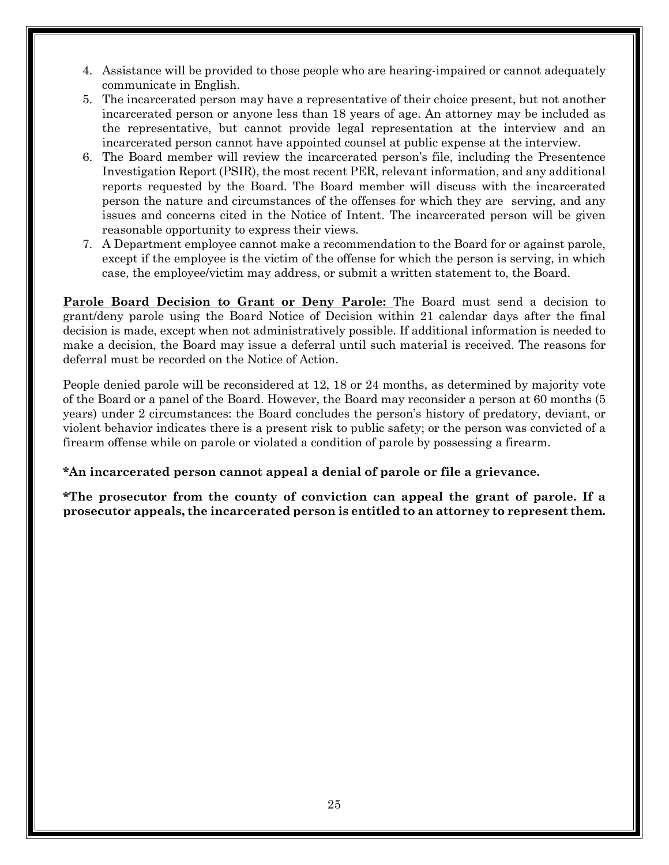- 4. Assistance will be provided to those people who are hearing-impaired or cannot adequately communicate in English.
- 5. The incarcerated person may have a representative of their choice present, but not another incarcerated person or anyone less than 18 years of age. An attorney may be included as the representative, but cannot provide legal representation at the interview and an incarcerated person cannot have appointed counsel at public expense at the interview.
- 6. The Board member will review the incarcerated person's file, including the Presentence Investigation Report (PSIR), the most recent PER, relevant information, and any additional reports requested by the Board. The Board member will discuss with the incarcerated person the nature and circumstances of the offenses for which they are serving, and any issues and concerns cited in the Notice of Intent. The incarcerated person will be given reasonable opportunity to express their views.
- 7. A Department employee cannot make a recommendation to the Board for or against parole, except if the employee is the victim of the offense for which the person is serving, in which case, the employee/victim may address, or submit a written statement to, the Board.

**Parole Board Decision to Grant or Deny Parole:** The Board must send a decision to grant/deny parole using the Board Notice of Decision within 21 calendar days after the final decision is made, except when not administratively possible. If additional information is needed to make a decision, the Board may issue a deferral until such material is received. The reasons for deferral must be recorded on the Notice of Action.

People denied parole will be reconsidered at 12, 18 or 24 months, as determined by majority vote of the Board or a panel of the Board. However, the Board may reconsider a person at 60 months (5 years) under 2 circumstances: the Board concludes the person's history of predatory, deviant, or violent behavior indicates there is a present risk to public safety; or the person was convicted of a firearm offense while on parole or violated a condition of parole by possessing a firearm.

#### **\*An incarcerated person cannot appeal a denial of parole or file a grievance.**

**\*The prosecutor from the county of conviction can appeal the grant of parole. If a prosecutor appeals, the incarcerated person is entitled to an attorney to represent them.**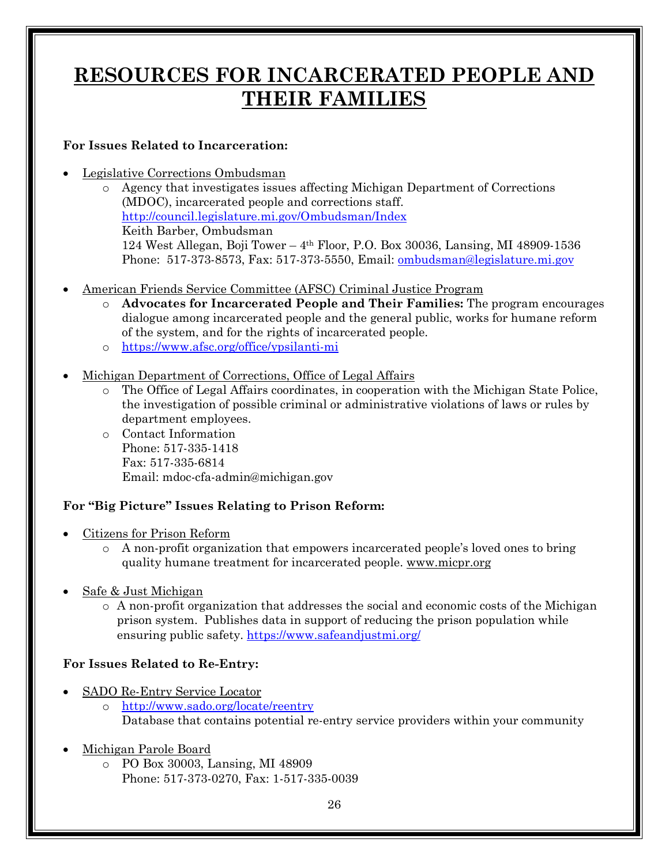# **RESOURCES FOR INCARCERATED PEOPLE AND THEIR FAMILIES**

### **For Issues Related to Incarceration:**

- Legislative Corrections Ombudsman
	- o Agency that investigates issues affecting Michigan Department of Corrections (MDOC), incarcerated people and corrections staff. <http://council.legislature.mi.gov/Ombudsman/Index> Keith Barber, Ombudsman 124 West Allegan, Boji Tower – 4th Floor, P.O. Box 30036, Lansing, MI 48909-1536 Phone: 517-373-8573, Fax: 517-373-5550, Email: [ombudsman@legislature.mi.gov](mailto:ombudsman@legislature.mi.gov)
- American Friends Service Committee (AFSC) Criminal Justice Program
	- o **Advocates for Incarcerated People and Their Families:** The program encourages dialogue among incarcerated people and the general public, works for humane reform of the system, and for the rights of incarcerated people.
	- o [https://www.afsc.org/office/ypsilanti](https://www.afsc.org/office/ypsilanti-mi)-[mi](https://www.afsc.org/office/ypsilanti-mi)
- Michigan Department of Corrections, Office of Legal Affairs
	- o The Office of Legal Affairs coordinates, in cooperation with the Michigan State Police, the investigation of possible criminal or administrative violations of laws or rules by department employees.
	- o Contact Information Phone: 517-335-1418 Fax: 517-335-6814 Email: mdoc-cfa-admin@michigan.gov

#### **For "Big Picture" Issues Relating to Prison Reform:**

- Citizens for Prison Reform
	- o A non-profit organization that empowers incarcerated people's loved ones to bring quality humane treatment for incarcerated people. [www.micpr.org](http://www.micpr.org/)
- Safe & Just Michigan
	- o A non-profit organization that addresses the social and economic costs of the Michigan prison system. Publishes data in support of reducing the prison population while ensuring public safety. <https://www.safeandjustmi.org/>

#### **For Issues Related to Re-Entry:**

- SADO Re-Entry Service Locator
	- o <http://www.sado.org/locate/reentry> Database that contains potential re-entry service providers within your community
- Michigan Parole Board
	- o PO Box 30003, Lansing, MI 48909 Phone: 517-373-0270, Fax: 1-517-335-0039